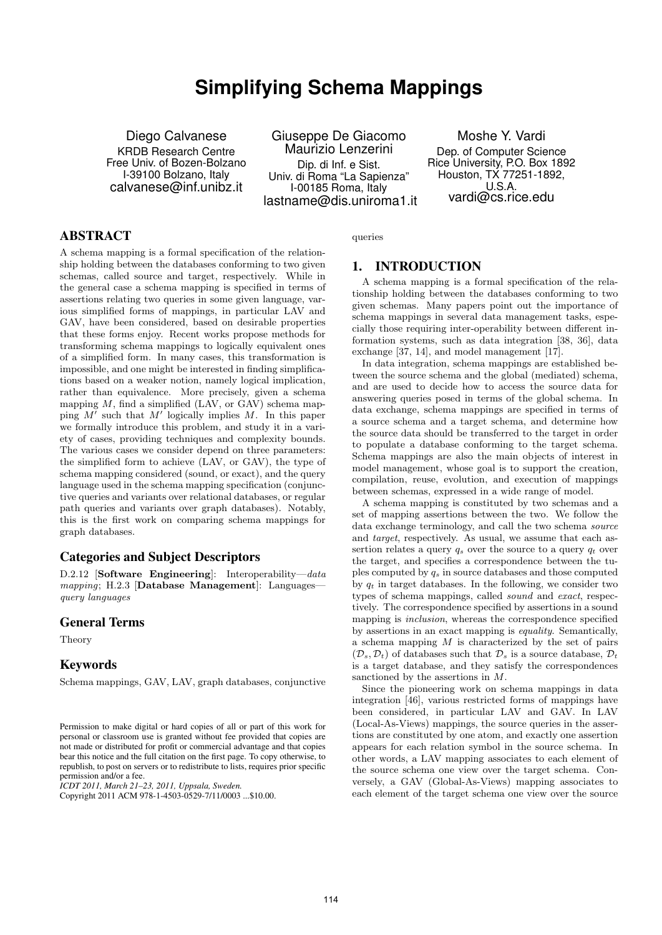# **Simplifying Schema Mappings**

Diego Calvanese KRDB Research Centre Free Univ. of Bozen-Bolzano I-39100 Bolzano, Italy calvanese@inf.unibz.it

Giuseppe De Giacomo Maurizio Lenzerini Dip. di Inf. e Sist. Univ. di Roma "La Sapienza" I-00185 Roma, Italy lastname@dis.uniroma1.it

Moshe Y. Vardi Dep. of Computer Science Rice University, P.O. Box 1892 Houston, TX 77251-1892, U.S.A. vardi@cs.rice.edu

# ABSTRACT

A schema mapping is a formal specification of the relationship holding between the databases conforming to two given schemas, called source and target, respectively. While in the general case a schema mapping is specified in terms of assertions relating two queries in some given language, various simplified forms of mappings, in particular LAV and GAV, have been considered, based on desirable properties that these forms enjoy. Recent works propose methods for transforming schema mappings to logically equivalent ones of a simplified form. In many cases, this transformation is impossible, and one might be interested in finding simplifications based on a weaker notion, namely logical implication, rather than equivalence. More precisely, given a schema mapping  $M$ , find a simplified (LAV, or GAV) schema mapping  $M'$  such that  $M'$  logically implies  $M$ . In this paper we formally introduce this problem, and study it in a variety of cases, providing techniques and complexity bounds. The various cases we consider depend on three parameters: the simplified form to achieve (LAV, or GAV), the type of schema mapping considered (sound, or exact), and the query language used in the schema mapping specification (conjunctive queries and variants over relational databases, or regular path queries and variants over graph databases). Notably, this is the first work on comparing schema mappings for graph databases.

# Categories and Subject Descriptors

D.2.12 [Software Engineering]: Interoperability—data  $mapping$ ; H.2.3 [Database Management]: Languages query languages

## General Terms

Theory

# Keywords

Schema mappings, GAV, LAV, graph databases, conjunctive

*ICDT 2011, March 21–23, 2011, Uppsala, Sweden.*

queries

# 1. INTRODUCTION

A schema mapping is a formal specification of the relationship holding between the databases conforming to two given schemas. Many papers point out the importance of schema mappings in several data management tasks, especially those requiring inter-operability between different information systems, such as data integration [38, 36], data exchange [37, 14], and model management [17].

In data integration, schema mappings are established between the source schema and the global (mediated) schema, and are used to decide how to access the source data for answering queries posed in terms of the global schema. In data exchange, schema mappings are specified in terms of a source schema and a target schema, and determine how the source data should be transferred to the target in order to populate a database conforming to the target schema. Schema mappings are also the main objects of interest in model management, whose goal is to support the creation, compilation, reuse, evolution, and execution of mappings between schemas, expressed in a wide range of model.

A schema mapping is constituted by two schemas and a set of mapping assertions between the two. We follow the data exchange terminology, and call the two schema source and target, respectively. As usual, we assume that each assertion relates a query  $q_s$  over the source to a query  $q_t$  over the target, and specifies a correspondence between the tuples computed by  $q_s$  in source databases and those computed by  $q_t$  in target databases. In the following, we consider two types of schema mappings, called sound and exact, respectively. The correspondence specified by assertions in a sound mapping is inclusion, whereas the correspondence specified by assertions in an exact mapping is equality. Semantically, a schema mapping  $M$  is characterized by the set of pairs  $(\mathcal{D}_s, \mathcal{D}_t)$  of databases such that  $\mathcal{D}_s$  is a source database,  $\mathcal{D}_t$ is a target database, and they satisfy the correspondences sanctioned by the assertions in M.

Since the pioneering work on schema mappings in data integration [46], various restricted forms of mappings have been considered, in particular LAV and GAV. In LAV (Local-As-Views) mappings, the source queries in the assertions are constituted by one atom, and exactly one assertion appears for each relation symbol in the source schema. In other words, a LAV mapping associates to each element of the source schema one view over the target schema. Conversely, a GAV (Global-As-Views) mapping associates to each element of the target schema one view over the source

Permission to make digital or hard copies of all or part of this work for personal or classroom use is granted without fee provided that copies are not made or distributed for profit or commercial advantage and that copies bear this notice and the full citation on the first page. To copy otherwise, to republish, to post on servers or to redistribute to lists, requires prior specific permission and/or a fee.

Copyright 2011 ACM 978-1-4503-0529-7/11/0003 ...\$10.00.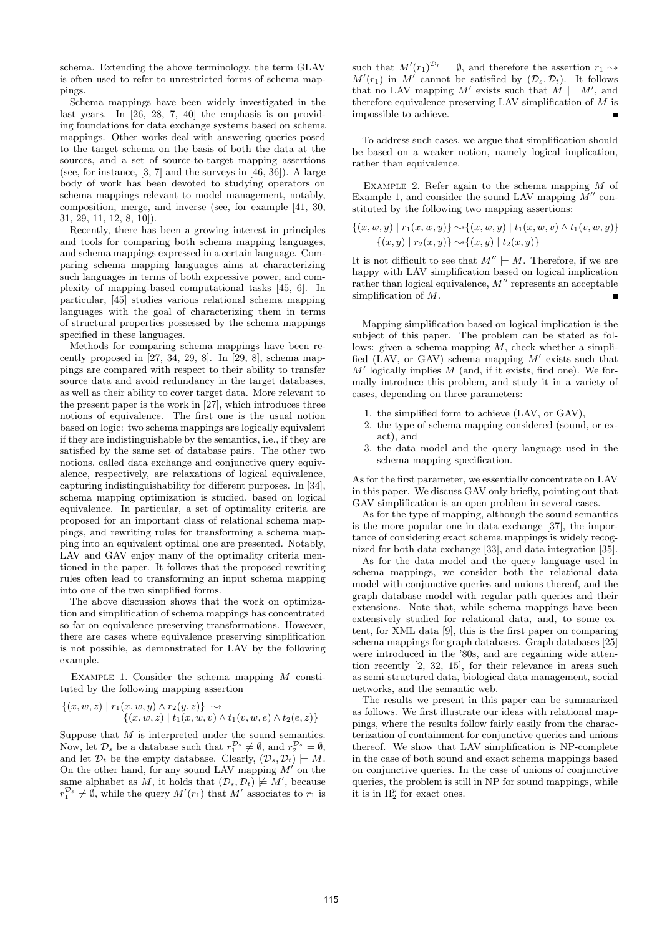schema. Extending the above terminology, the term GLAV is often used to refer to unrestricted forms of schema mappings.

Schema mappings have been widely investigated in the last years. In [26, 28, 7, 40] the emphasis is on providing foundations for data exchange systems based on schema mappings. Other works deal with answering queries posed to the target schema on the basis of both the data at the sources, and a set of source-to-target mapping assertions (see, for instance, [3, 7] and the surveys in [46, 36]). A large body of work has been devoted to studying operators on schema mappings relevant to model management, notably, composition, merge, and inverse (see, for example [41, 30, 31, 29, 11, 12, 8, 10]).

Recently, there has been a growing interest in principles and tools for comparing both schema mapping languages, and schema mappings expressed in a certain language. Comparing schema mapping languages aims at characterizing such languages in terms of both expressive power, and complexity of mapping-based computational tasks [45, 6]. In particular, [45] studies various relational schema mapping languages with the goal of characterizing them in terms of structural properties possessed by the schema mappings specified in these languages.

Methods for comparing schema mappings have been recently proposed in [27, 34, 29, 8]. In [29, 8], schema mappings are compared with respect to their ability to transfer source data and avoid redundancy in the target databases, as well as their ability to cover target data. More relevant to the present paper is the work in [27], which introduces three notions of equivalence. The first one is the usual notion based on logic: two schema mappings are logically equivalent if they are indistinguishable by the semantics, i.e., if they are satisfied by the same set of database pairs. The other two notions, called data exchange and conjunctive query equivalence, respectively, are relaxations of logical equivalence, capturing indistinguishability for different purposes. In [34], schema mapping optimization is studied, based on logical equivalence. In particular, a set of optimality criteria are proposed for an important class of relational schema mappings, and rewriting rules for transforming a schema mapping into an equivalent optimal one are presented. Notably, LAV and GAV enjoy many of the optimality criteria mentioned in the paper. It follows that the proposed rewriting rules often lead to transforming an input schema mapping into one of the two simplified forms.

The above discussion shows that the work on optimization and simplification of schema mappings has concentrated so far on equivalence preserving transformations. However, there are cases where equivalence preserving simplification is not possible, as demonstrated for LAV by the following example.

EXAMPLE 1. Consider the schema mapping  $M$  constituted by the following mapping assertion

$$
\{(x, w, z) | r_1(x, w, y) \land r_2(y, z)\} \sim \{(x, w, z) | t_1(x, w, v) \land t_1(v, w, e) \land t_2(e, z)\}
$$

Suppose that  $M$  is interpreted under the sound semantics. Now, let  $\mathcal{D}_s$  be a database such that  $r_1^{\mathcal{D}_s} \neq \emptyset$ , and  $r_2^{\mathcal{D}_s} = \emptyset$ , and let  $\mathcal{D}_t$  be the empty database. Clearly,  $(\mathcal{D}_s, \mathcal{D}_t) \models M$ . On the other hand, for any sound LAV mapping  $M'$  on the same alphabet as M, it holds that  $(D_s, D_t) \not\models M'$ , because  $r_1^{\mathcal{D}_s} \neq \emptyset$ , while the query  $M'(r_1)$  that  $M'$  associates to  $r_1$  is

such that  $M'(r_1)^{D_t} = \emptyset$ , and therefore the assertion  $r_1 \sim$  $M'(r_1)$  in M' cannot be satisfied by  $(\mathcal{D}_s, \mathcal{D}_t)$ . It follows that no LAV mapping M' exists such that  $M \models M'$ , and therefore equivalence preserving LAV simplification of  $M$  is impossible to achieve.

To address such cases, we argue that simplification should be based on a weaker notion, namely logical implication, rather than equivalence.

EXAMPLE 2. Refer again to the schema mapping  $M$  of Example 1, and consider the sound LAV mapping  $\tilde{M}''$  constituted by the following two mapping assertions:

$$
\{(x, w, y) | r_1(x, w, y)\} \sim \{(x, w, y) | t_1(x, w, v) \wedge t_1(v, w, y)\}
$$
  

$$
\{(x, y) | r_2(x, y)\} \sim \{(x, y) | t_2(x, y)\}
$$

It is not difficult to see that  $M'' \models M$ . Therefore, if we are happy with LAV simplification based on logical implication rather than logical equivalence,  $M''$  represents an acceptable simplification of M.

Mapping simplification based on logical implication is the subject of this paper. The problem can be stated as follows: given a schema mapping  $M$ , check whether a simplified (LAV, or GAV) schema mapping  $M'$  exists such that  $M'$  logically implies  $M$  (and, if it exists, find one). We formally introduce this problem, and study it in a variety of cases, depending on three parameters:

- 1. the simplified form to achieve (LAV, or GAV),
- 2. the type of schema mapping considered (sound, or exact), and
- 3. the data model and the query language used in the schema mapping specification.

As for the first parameter, we essentially concentrate on LAV in this paper. We discuss GAV only briefly, pointing out that GAV simplification is an open problem in several cases.

As for the type of mapping, although the sound semantics is the more popular one in data exchange [37], the importance of considering exact schema mappings is widely recognized for both data exchange [33], and data integration [35].

As for the data model and the query language used in schema mappings, we consider both the relational data model with conjunctive queries and unions thereof, and the graph database model with regular path queries and their extensions. Note that, while schema mappings have been extensively studied for relational data, and, to some extent, for XML data [9], this is the first paper on comparing schema mappings for graph databases. Graph databases [25] were introduced in the '80s, and are regaining wide attention recently [2, 32, 15], for their relevance in areas such as semi-structured data, biological data management, social networks, and the semantic web.

The results we present in this paper can be summarized as follows. We first illustrate our ideas with relational mappings, where the results follow fairly easily from the characterization of containment for conjunctive queries and unions thereof. We show that LAV simplification is NP-complete in the case of both sound and exact schema mappings based on conjunctive queries. In the case of unions of conjunctive queries, the problem is still in NP for sound mappings, while it is in  $\Pi_2^p$  for exact ones.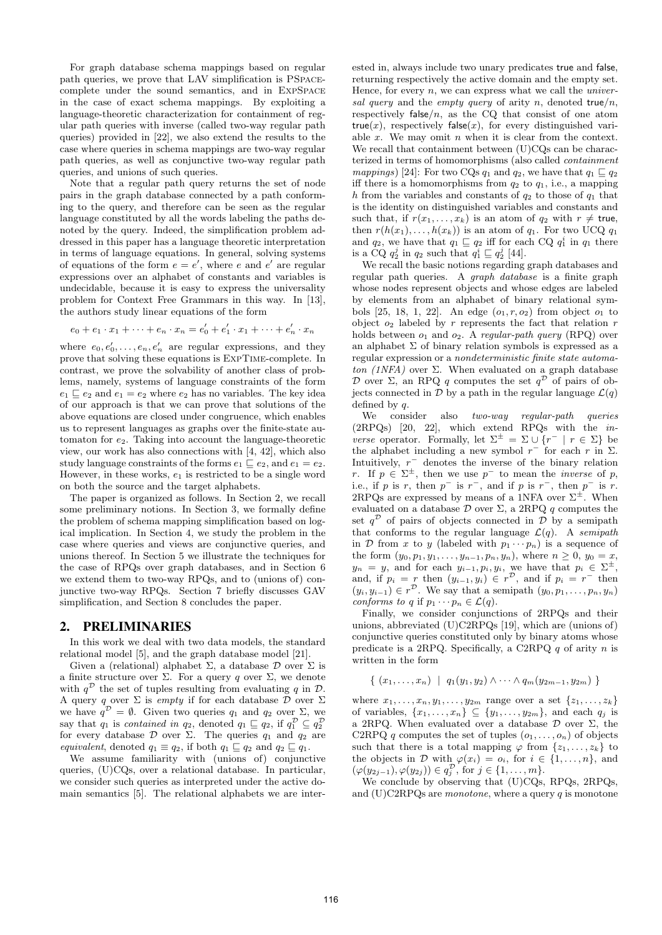For graph database schema mappings based on regular path queries, we prove that LAV simplification is PSpacecomplete under the sound semantics, and in ExpSpace in the case of exact schema mappings. By exploiting a language-theoretic characterization for containment of regular path queries with inverse (called two-way regular path queries) provided in [22], we also extend the results to the case where queries in schema mappings are two-way regular path queries, as well as conjunctive two-way regular path queries, and unions of such queries.

Note that a regular path query returns the set of node pairs in the graph database connected by a path conforming to the query, and therefore can be seen as the regular language constituted by all the words labeling the paths denoted by the query. Indeed, the simplification problem addressed in this paper has a language theoretic interpretation in terms of language equations. In general, solving systems of equations of the form  $e = e'$ , where e and e' are regular expressions over an alphabet of constants and variables is undecidable, because it is easy to express the universality problem for Context Free Grammars in this way. In [13], the authors study linear equations of the form

$$
e_0 + e_1 \cdot x_1 + \dots + e_n \cdot x_n = e'_0 + e'_1 \cdot x_1 + \dots + e'_n \cdot x_n
$$

where  $e_0, e'_0, \ldots, e_n, e'_n$  are regular expressions, and they prove that solving these equations is ExpTime-complete. In contrast, we prove the solvability of another class of problems, namely, systems of language constraints of the form  $e_1 \sqsubseteq e_2$  and  $e_1 = e_2$  where  $e_2$  has no variables. The key idea of our approach is that we can prove that solutions of the above equations are closed under congruence, which enables us to represent languages as graphs over the finite-state automaton for  $e_2$ . Taking into account the language-theoretic view, our work has also connections with [4, 42], which also study language constraints of the forms  $e_1 \sqsubseteq e_2$ , and  $e_1 = e_2$ . However, in these works,  $e_1$  is restricted to be a single word on both the source and the target alphabets.

The paper is organized as follows. In Section 2, we recall some preliminary notions. In Section 3, we formally define the problem of schema mapping simplification based on logical implication. In Section 4, we study the problem in the case where queries and views are conjunctive queries, and unions thereof. In Section 5 we illustrate the techniques for the case of RPQs over graph databases, and in Section 6 we extend them to two-way RPQs, and to (unions of) conjunctive two-way RPQs. Section 7 briefly discusses GAV simplification, and Section 8 concludes the paper.

## 2. PRELIMINARIES

In this work we deal with two data models, the standard relational model [5], and the graph database model [21].

Given a (relational) alphabet  $\Sigma$ , a database  $\mathcal D$  over  $\Sigma$  is a finite structure over Σ. For a query *q* over Σ, we denote with  $q^{\mathcal{D}}$  the set of tuples resulting from evaluating q in  $\mathcal{D}$ . A query q over  $\Sigma$  is *empty* if for each database  $\overline{\mathcal{D}}$  over  $\Sigma$ we have  $q^{\mathcal{D}} = \emptyset$ . Given two queries  $q_1$  and  $q_2$  over  $\Sigma$ , we say that  $q_1$  is contained in  $q_2$ , denoted  $q_1 \sqsubseteq q_2$ , if  $q_1^{\mathcal{D}} \subseteq q_2^{\mathcal{D}}$ for every database  $\mathcal D$  over  $\Sigma$ . The queries  $q_1$  and  $q_2$  are equivalent, denoted  $q_1 \equiv q_2$ , if both  $q_1 \sqsubseteq q_2$  and  $q_2 \sqsubseteq q_1$ .

We assume familiarity with (unions of) conjunctive queries, (U)CQs, over a relational database. In particular, we consider such queries as interpreted under the active domain semantics [5]. The relational alphabets we are interested in, always include two unary predicates true and false, returning respectively the active domain and the empty set. Hence, for every  $n$ , we can express what we call the *univer*sal query and the empty query of arity n, denoted true/n, respectively false/ $n$ , as the CQ that consist of one atom true(x), respectively false(x), for every distinguished variable  $x$ . We may omit  $n$  when it is clear from the context. We recall that containment between (U)CQs can be characterized in terms of homomorphisms (also called containment mappings) [24]: For two CQs  $q_1$  and  $q_2$ , we have that  $q_1 \sqsubseteq q_2$ iff there is a homomorphisms from  $q_2$  to  $q_1$ , i.e., a mapping h from the variables and constants of  $q_2$  to those of  $q_1$  that is the identity on distinguished variables and constants and such that, if  $r(x_1, \ldots, x_k)$  is an atom of  $q_2$  with  $r \neq$  true, then  $r(h(x_1), \ldots, h(x_k))$  is an atom of  $q_1$ . For two UCQ  $q_1$ and  $q_2$ , we have that  $q_1 \sqsubseteq q_2$  iff for each CQ  $q_1^i$  in  $q_1$  there is a CQ  $q_2^j$  in  $q_2$  such that  $q_1^i \sqsubseteq q_2^j$  [44].

We recall the basic notions regarding graph databases and regular path queries. A graph database is a finite graph whose nodes represent objects and whose edges are labeled by elements from an alphabet of binary relational symbols [25, 18, 1, 22]. An edge  $(o_1, r, o_2)$  from object  $o_1$  to object  $o_2$  labeled by r represents the fact that relation r holds between  $o_1$  and  $o_2$ . A regular-path query (RPQ) over an alphabet  $\Sigma$  of binary relation symbols is expressed as a regular expression or a nondeterministic finite state automaton (1NFA) over  $\Sigma$ . When evaluated on a graph database D over  $\Sigma$ , an RPQ q computes the set  $q^D$  of pairs of objects connected in  $\mathcal{D}$  by a path in the regular language  $\mathcal{L}(q)$ defined by  $q$ .

We consider also two-way regular-path queries (2RPQs) [20, 22], which extend RPQs with the in*verse* operator. Formally, let  $\Sigma^{\pm} = \Sigma \cup \{r^{-} | r \in \Sigma\}$  be the alphabet including a new symbol  $r^-$  for each r in  $\Sigma$ . Intuitively,  $r^-$  denotes the inverse of the binary relation r. If  $p \in \Sigma^{\pm}$ , then we use  $p^{-}$  to mean the *inverse* of p, i.e., if p is r, then  $p^-$  is  $r^-$ , and if p is  $r^-$ , then  $p^-$  is r. 2RPQs are expressed by means of a 1NFA over  $\Sigma^{\pm}$ . When evaluated on a database  $\mathcal D$  over  $\Sigma$ , a 2RPQ q computes the set  $q^{\mathcal{D}}$  of pairs of objects connected in  $\mathcal{D}$  by a semipath that conforms to the regular language  $\mathcal{L}(q)$ . A semipath in D from x to y (labeled with  $p_1 \cdots p_n$ ) is a sequence of the form  $(y_0, p_1, y_1, \ldots, y_{n-1}, p_n, y_n)$ , where  $n \geq 0$ ,  $y_0 = x$ ,  $y_n = y$ , and for each  $y_{i-1}, p_i, y_i$ , we have that  $p_i \in \Sigma^{\pm}$ , and, if  $p_i = r$  then  $(y_{i-1}, y_i) \in r^{\mathcal{D}}$ , and if  $p_i = r^-$  then  $(y_i, y_{i-1}) \in r^{\mathcal{D}}$ . We say that a semipath  $(y_0, p_1, \ldots, p_n, y_n)$ conforms to q if  $p_1 \cdots p_n \in \mathcal{L}(q)$ .

Finally, we consider conjunctions of 2RPQs and their unions, abbreviated (U)C2RPQs [19], which are (unions of) conjunctive queries constituted only by binary atoms whose predicate is a 2RPQ. Specifically, a C2RPQ  $q$  of arity  $n$  is written in the form

$$
\{ (x_1, \ldots, x_n) \mid q_1(y_1, y_2) \wedge \cdots \wedge q_m(y_{2m-1}, y_{2m}) \}
$$

where  $x_1, ..., x_n, y_1, ..., y_{2m}$  range over a set  $\{z_1, ..., z_k\}$ of variables,  $\{x_1, \ldots, x_n\} \subseteq \{y_1, \ldots, y_{2m}\}$ , and each  $q_j$  is a 2RPQ. When evaluated over a database  $\mathcal D$  over  $\Sigma$ , the C2RPQ q computes the set of tuples  $(o_1, \ldots, o_n)$  of objects such that there is a total mapping  $\varphi$  from  $\{z_1, \ldots, z_k\}$  to the objects in  $\mathcal D$  with  $\varphi(x_i) = o_i$ , for  $i \in \{1, \ldots, n\}$ , and  $(\varphi(y_{2j-1}), \varphi(y_{2j})) \in q_j^{\mathcal{D}}, \text{ for } j \in \{1, \ldots, m\}.$ 

We conclude by observing that (U)CQs, RPQs, 2RPQs, and (U)C2RPQs are *monotone*, where a query  $q$  is monotone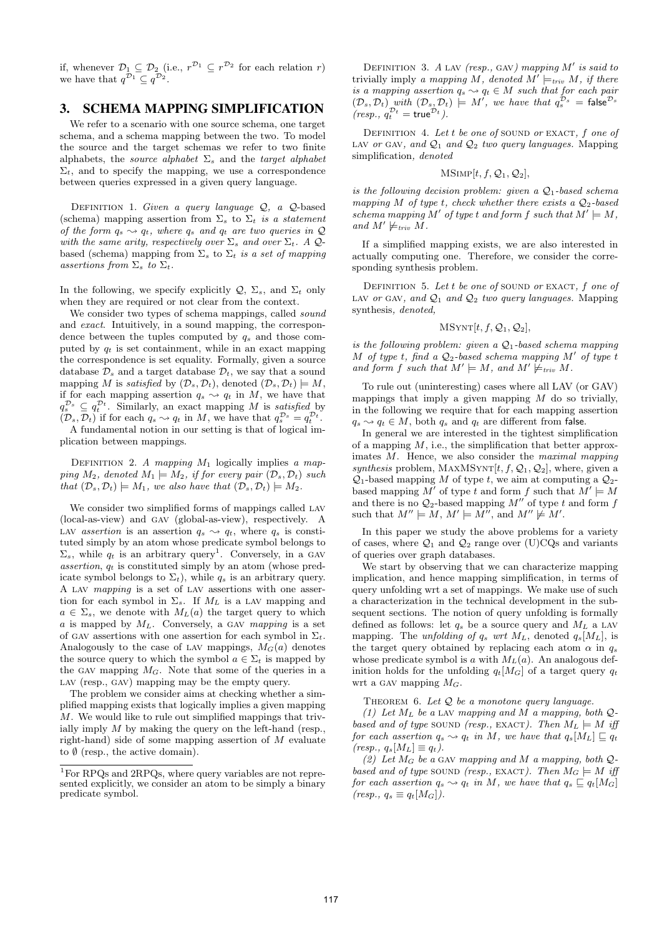if, whenever  $\mathcal{D}_1 \subseteq \mathcal{D}_2$  (i.e.,  $r^{\mathcal{D}_1} \subseteq r^{\mathcal{D}_2}$  for each relation r) we have that  $q^{\mathcal{D}_1} \subseteq q^{\mathcal{D}_2}$ .

# 3. SCHEMA MAPPING SIMPLIFICATION

We refer to a scenario with one source schema, one target schema, and a schema mapping between the two. To model the source and the target schemas we refer to two finite alphabets, the source alphabet  $\Sigma_s$  and the target alphabet  $\Sigma_t$ , and to specify the mapping, we use a correspondence between queries expressed in a given query language.

DEFINITION 1. Given a query language  $Q$ , a  $Q$ -based (schema) mapping assertion from  $\Sigma_s$  to  $\Sigma_t$  is a statement of the form  $q_s \rightarrow q_t$ , where  $q_s$  and  $q_t$  are two queries in  $\mathcal{Q}$ with the same arity, respectively over  $\Sigma_s$  and over  $\Sigma_t$ . A Qbased (schema) mapping from  $\Sigma_s$  to  $\Sigma_t$  is a set of mapping assertions from  $\Sigma_s$  to  $\Sigma_t$ .

In the following, we specify explicitly  $\mathcal{Q}, \Sigma_s$ , and  $\Sigma_t$  only when they are required or not clear from the context.

We consider two types of schema mappings, called *sound* and exact. Intuitively, in a sound mapping, the correspondence between the tuples computed by  $q_s$  and those computed by  $q_t$  is set containment, while in an exact mapping the correspondence is set equality. Formally, given a source database  $\mathcal{D}_s$  and a target database  $\mathcal{D}_t$ , we say that a sound mapping M is satisfied by  $(\mathcal{D}_s, \mathcal{D}_t)$ , denoted  $(\mathcal{D}_s, \mathcal{D}_t) \models M$ , if for each mapping assertion  $q_s \sim q_t$  in M, we have that  $q_s^{\mathcal{D}_s} \subseteq q_t^{\mathcal{D}_t}$ . Similarly, an exact mapping M is satisfied by  $(D_s, D_t)$  if for each  $q_s \leadsto q_t$  in M, we have that  $q_s^{\mathcal{D}_s} = q_t^{\mathcal{D}_t}$ . A fundamental notion in our setting is that of logical im-

plication between mappings.

DEFINITION 2. A mapping  $M_1$  logically implies a mapping  $M_2$ , denoted  $M_1 \models M_2$ , if for every pair  $(\mathcal{D}_s, \mathcal{D}_t)$  such that  $(\mathcal{D}_s, \mathcal{D}_t) \models M_1$ , we also have that  $(\mathcal{D}_s, \mathcal{D}_t) \models M_2$ .

We consider two simplified forms of mappings called LAV (local-as-view) and gav (global-as-view), respectively. A LAV assertion is an assertion  $q_s \rightarrow q_t$ , where  $q_s$  is constituted simply by an atom whose predicate symbol belongs to  $\Sigma_s$ , while  $q_t$  is an arbitrary query<sup>1</sup>. Conversely, in a GAV assertion,  $q_t$  is constituted simply by an atom (whose predicate symbol belongs to  $\Sigma_t$ ), while  $q_s$  is an arbitrary query. A lav mapping is a set of lav assertions with one assertion for each symbol in  $\Sigma_s$ . If  $M_L$  is a LAV mapping and  $a \in \Sigma_s$ , we denote with  $M_L(a)$  the target query to which a is mapped by  $M_L$ . Conversely, a GAV mapping is a set of GAV assertions with one assertion for each symbol in  $\Sigma_t$ . Analogously to the case of LAV mappings,  $M_G(a)$  denotes the source query to which the symbol  $a \in \Sigma_t$  is mapped by the GAV mapping  $M_G$ . Note that some of the queries in a LAV (resp., GAV) mapping may be the empty query.

The problem we consider aims at checking whether a simplified mapping exists that logically implies a given mapping M. We would like to rule out simplified mappings that trivially imply  $M$  by making the query on the left-hand (resp., right-hand) side of some mapping assertion of M evaluate to  $\emptyset$  (resp., the active domain).

DEFINITION 3. A LAV (resp., GAV) mapping  $M'$  is said to trivially imply a mapping M, denoted  $M' \models_{\text{triv}} M$ , if there is a mapping assertion  $q_s \leadsto q_t \in M$  such that for each pair  $(\mathcal{D}_s, \mathcal{D}_t)$  with  $(\mathcal{D}_s, \mathcal{D}_t) \models M'$ , we have that  $q_s^{\mathcal{D}_s}$  = false  $^{\mathcal{D}_s}$  $(resp., q_t^{\mathcal{D}_t} = \text{true}^{\mathcal{D}_t}).$ 

DEFINITION 4. Let t be one of SOUND or EXACT,  $f$  one of LAV or GAV, and  $Q_1$  and  $Q_2$  two query languages. Mapping simplification, denoted

#### $MSIMP[t, f, Q_1, Q_2],$

is the following decision problem: given a  $Q_1$ -based schema mapping M of type t, check whether there exists a  $\mathcal{Q}_2$ -based schema mapping M' of type t and form f such that  $M' \models M$ , and  $M' \not\models_{\text{triv}} M$ .

If a simplified mapping exists, we are also interested in actually computing one. Therefore, we consider the corresponding synthesis problem.

DEFINITION 5. Let t be one of SOUND or EXACT,  $f$  one of LAV or GAV, and  $Q_1$  and  $Q_2$  two query languages. Mapping synthesis, denoted,

#### $MSYNT[t, f, Q_1, Q_2],$

is the following problem: given a  $Q_1$ -based schema mapping M of type t, find a  $Q_2$ -based schema mapping M' of type t and form f such that  $M' \models M$ , and  $M' \not\models_{\text{triv}} M$ .

To rule out (uninteresting) cases where all LAV (or GAV) mappings that imply a given mapping  $M$  do so trivially, in the following we require that for each mapping assertion  $q_s \rightsquigarrow q_t \in M$ , both  $q_s$  and  $q_t$  are different from false.

In general we are interested in the tightest simplification of a mapping  $M$ , i.e., the simplification that better approximates M. Hence, we also consider the maximal mapping synthesis problem, MAXMSYNT $[t, f, \mathcal{Q}_1, \mathcal{Q}_2]$ , where, given a  $\mathcal{Q}_1$ -based mapping M of type t, we aim at computing a  $\mathcal{Q}_2$ based mapping M' of type t and form f such that  $M' \models M$ and there is no  $Q_2$ -based mapping  $M''$  of type t and form f such that  $M'' \models M$ ,  $M' \models M''$ , and  $M'' \not\models M'$ .

In this paper we study the above problems for a variety of cases, where  $\mathcal{Q}_1$  and  $\mathcal{Q}_2$  range over (U)CQs and variants of queries over graph databases.

We start by observing that we can characterize mapping implication, and hence mapping simplification, in terms of query unfolding wrt a set of mappings. We make use of such a characterization in the technical development in the subsequent sections. The notion of query unfolding is formally defined as follows: let  $q_s$  be a source query and  $M_L$  a LAV mapping. The unfolding of  $q_s$  wrt  $M_L$ , denoted  $q_s[M_L]$ , is the target query obtained by replacing each atom  $\alpha$  in  $q_s$ whose predicate symbol is a with  $M<sub>L</sub>(a)$ . An analogous definition holds for the unfolding  $q_t[M_G]$  of a target query  $q_t$ wrt a GAV mapping  $M_G$ .

THEOREM 6. Let  $Q$  be a monotone query language.

(1) Let  $M_L$  be a LAV mapping and M a mapping, both  $Q$ based and of type SOUND (resp., EXACT). Then  $M_L \models M$  iff for each assertion  $q_s \rightarrow q_t$  in M, we have that  $q_s[M_L] \sqsubseteq q_t$  $(resp., q_s[M_L] \equiv q_t$ .

(2) Let  $M_G$  be a GAV mapping and M a mapping, both Qbased and of type SOUND (resp., EXACT). Then  $M_G \models M$  iff for each assertion  $q_s \rightarrow q_t$  in M, we have that  $q_s \sqsubseteq q_t[M_G]$  $(resp., q_s \equiv q_t[M_G]).$ 

<sup>&</sup>lt;sup>1</sup>For RPQs and 2RPQs, where query variables are not represented explicitly, we consider an atom to be simply a binary predicate symbol.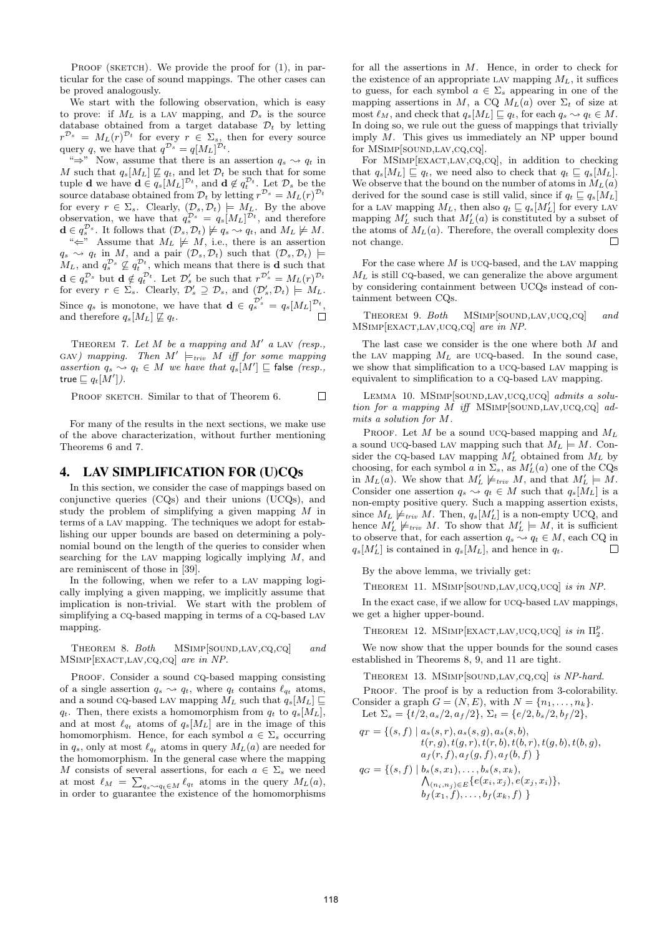PROOF (SKETCH). We provide the proof for  $(1)$ , in particular for the case of sound mappings. The other cases can be proved analogously.

We start with the following observation, which is easy to prove: if  $M_L$  is a LAV mapping, and  $\mathcal{D}_s$  is the source database obtained from a target database  $\mathcal{D}_t$  by letting  $r^{\mathcal{D}_s} = M_L(r)^{\mathcal{D}_t}$  for every  $r \in \Sigma_s$ , then for every source query q, we have that  $q^{\mathcal{D}_s} = q[M_L]^{\mathcal{D}_t}$ .

" $\Rightarrow$ " Now, assume that there is an assertion  $q_s \rightsquigarrow q_t$  in M such that  $q_s[M_L] \not\sqsubseteq q_t$ , and let  $\mathcal{D}_t$  be such that for some tuple **d** we have  $\mathbf{d} \in q_s[M_L]^{\mathcal{D}_t}$ , and  $\mathbf{d} \notin q_t^{\mathcal{D}_t}$ . Let  $\mathcal{D}_s$  be the source database obtained from  $\mathcal{D}_t$  by letting  $r^{\mathcal{D}_s} = M_L(r)^{\mathcal{D}_t}$ for every  $r \in \Sigma_s$ . Clearly,  $(\mathcal{D}_s, \mathcal{D}_t) \models M_L$ . By the above observation, we have that  $q_s^{\mathcal{D}_s} = q_s [M_L]^{\mathcal{D}_t}$ , and therefore  $\mathbf{d} \in q_s^{\mathcal{D}_s}$ . It follows that  $(\mathcal{D}_s, \mathcal{D}_t) \not\models q_s \leadsto q_t$ , and  $M_L \not\models M$ .

" $\Leftarrow$ " Assume that  $M_L \not\models M$ , i.e., there is an assertion  $q_s \rightsquigarrow q_t$  in M, and a pair  $(\mathcal{D}_s, \mathcal{D}_t)$  such that  $(\mathcal{D}_s, \mathcal{D}_t) \models$  $M_L$ , and  $q_s^{\mathcal{D}_s} \nsubseteq q_t^{\mathcal{D}_t}$ , which means that there is **d** such that  $\mathbf{d} \in q_s^{\mathcal{D}_s}$  but  $\mathbf{d} \notin q_t^{\mathcal{D}_t}$ . Let  $\mathcal{D}'_s$  be such that  $r^{\mathcal{D}'_s} = M_L(r)^{\mathcal{D}_t}$ for every  $r \in \Sigma_s$ . Clearly,  $\mathcal{D}'_s \supseteq \mathcal{D}_s$ , and  $(\mathcal{D}'_s, \mathcal{D}_t) \models M_L$ . Since  $q_s$  is monotone, we have that  $\mathbf{d} \in q_s^{\mathcal{D}'_s} = q_s[M_L]^{\mathcal{D}_t}$ , and therefore  $q_s[M_L] \not\sqsubseteq q_t$ .

THEOREM 7. Let  $M$  be a mapping and  $M'$  a LAV (resp., GAV) mapping. Then  $M' \models_{triv} M$  iff for some mapping assertion  $q_s \leadsto q_t \in M$  we have that  $q_s[M'] \sqsubseteq$  false (resp., true  $\sqsubseteq q_t[M']$ ).

PROOF SKETCH. Similar to that of Theorem 6.  $\Box$ 

For many of the results in the next sections, we make use of the above characterization, without further mentioning Theorems 6 and 7.

## 4. LAV SIMPLIFICATION FOR (U)CQs

In this section, we consider the case of mappings based on conjunctive queries (CQs) and their unions (UCQs), and study the problem of simplifying a given mapping M in terms of a lav mapping. The techniques we adopt for establishing our upper bounds are based on determining a polynomial bound on the length of the queries to consider when searching for the LAV mapping logically implying  $M$ , and are reminiscent of those in [39].

In the following, when we refer to a lav mapping logically implying a given mapping, we implicitly assume that implication is non-trivial. We start with the problem of simplifying a CQ-based mapping in terms of a CQ-based LAV mapping.

THEOREM 8. Both MSIMP[SOUND, LAV, CQ, CQ] and MSimp[exact,lav,cq,cq] are in NP.

PROOF. Consider a sound co-based mapping consisting of a single assertion  $q_s \leadsto q_t$ , where  $q_t$  contains  $\ell_{q_t}$  atoms, and a sound CQ-based LAV mapping  $M_L$  such that  $q_s[M_L] \sqsubseteq$  $q_t$ . Then, there exists a homomorphism from  $q_t$  to  $q_s[M_L]$ , and at most  $\ell_{q_t}$  atoms of  $q_s[M_L]$  are in the image of this homomorphism. Hence, for each symbol  $a \in \Sigma_s$  occurring in  $q_s$ , only at most  $\ell_{q_t}$  atoms in query  $M_L(a)$  are needed for the homomorphism. In the general case where the mapping M consists of several assertions, for each  $a \in \Sigma_s$  we need at most  $\ell_M = \sum_{q_s \sim q_t \in M} \ell_{q_t}$  atoms in the query  $M_L(a)$ ,<br>in order to guarantee the existence of the homomorphisms

for all the assertions in M. Hence, in order to check for the existence of an appropriate LAV mapping  $M_L$ , it suffices to guess, for each symbol  $a \in \Sigma_s$  appearing in one of the mapping assertions in M, a CQ  $M_L(a)$  over  $\Sigma_t$  of size at most  $\ell_M$ , and check that  $q_s[M_L] \sqsubseteq q_t$ , for each  $q_s \leadsto q_t \in M$ . In doing so, we rule out the guess of mappings that trivially imply M. This gives us immediately an NP upper bound for MSIMP[SOUND, LAV, CQ, CQ].

For MSIMP[EXACT,LAV,CQ,CQ], in addition to checking that  $q_s[M_L] \sqsubseteq q_t$ , we need also to check that  $q_t \sqsubseteq q_s[M_L]$ . We observe that the bound on the number of atoms in  $M_L(a)$ derived for the sound case is still valid, since if  $q_t \subseteq q_s[M_L]$ for a LAV mapping  $M_L$ , then also  $q_t \sqsubseteq q_s[M'_L]$  for every LAV mapping  $M'_L$  such that  $M'_L(a)$  is constituted by a subset of the atoms of  $M<sub>L</sub>(a)$ . Therefore, the overall complexity does not change.  $\Box$ 

For the case where  $M$  is ucq-based, and the LAV mapping  $M_L$  is still cq-based, we can generalize the above argument by considering containment between UCQs instead of containment between CQs.

THEOREM 9. Both MSIMP[SOUND, LAV, UCQ, CQ] and MSimp[exact,lav,ucq,cq] are in NP.

The last case we consider is the one where both M and the LAV mapping  $M_L$  are UCQ-based. In the sound case, we show that simplification to a ucq-based lav mapping is equivalent to simplification to a cq-based lav mapping.

LEMMA 10. MSIMP[SOUND,LAV,UCQ,UCQ] admits a solution for a mapping  $M$  iff MSIMP[SOUND,LAV,UCQ,CQ] admits a solution for M.

PROOF. Let M be a sound ucq-based mapping and  $M_L$ a sound ucq-based LAV mapping such that  $M_L \models M$ . Consider the CQ-based LAV mapping  $M'_L$  obtained from  $M_L$  by choosing, for each symbol  $a$  in  $\Sigma_s$ , as  $M'_L(a)$  one of the CQs in  $M_L(a)$ . We show that  $M'_L \not\models_{\text{triv}} M$ , and that  $M'_L \models M$ . Consider one assertion  $q_s \leadsto q_t \in M$  such that  $q_s[M_L]$  is a non-empty positive query. Such a mapping assertion exists, since  $M_L \not\models_{triv} M$ . Then,  $q_s[M'_L]$  is a non-empty UCQ, and hence  $M'_L \not\models_{\text{triv}} M$ . To show that  $M'_L \models M$ , it is sufficient to observe that, for each assertion  $q_s \sim q_t \in M$ , each CQ in  $q_s[M'_L]$  is contained in  $q_s[M_L]$ , and hence in  $q_t$ .  $\Box$ 

By the above lemma, we trivially get:

THEOREM 11. MSIMP[SOUND,LAV,UCQ,UCQ] is in NP.

In the exact case, if we allow for ucq-based LAV mappings, we get a higher upper-bound.

THEOREM 12. MSIMP[EXACT,LAV,UCQ,UCQ] is in  $\Pi_2^p$ .

We now show that the upper bounds for the sound cases established in Theorems 8, 9, and 11 are tight.

THEOREM 13. MSIMP[SOUND,LAV,CQ,CQ] is NP-hard. PROOF. The proof is by a reduction from 3-colorability. Consider a graph  $G = (N, E)$ , with  $N = \{n_1, \ldots, n_k\}.$ 

Let 
$$
\Sigma_s = \{t/2, a_s/2, a_f/2\}
$$
,  $\Sigma_t = \{e/2, b_s/2, b_f/2\}$ ,  
 $a_{\overline{s}} = \{(s, f) | a_{\overline{s}}(s, r), a_{\overline{s}}(s, a), a_{\overline{s}}(s, b)\}$ 

$$
q_T = \{(s, f) \mid a_s(s, r), a_s(s, g), a_s(s, b),\n t(r, g), t(g, r), t(r, b), t(b, r), t(g, b), t(b, g),\n a_f(r, f), a_f(g, f), a_f(b, f)\}\n\nq_G = \{(s, f) \mid b_s(s, x_1), \dots, b_s(s, x_k),\n \bigwedge_{(n_i, n_j) \in E} \{e(x_i, x_j), e(x_j, x_i)\},\n b_f(x_1, f), \dots, b_f(x_k, f)\}
$$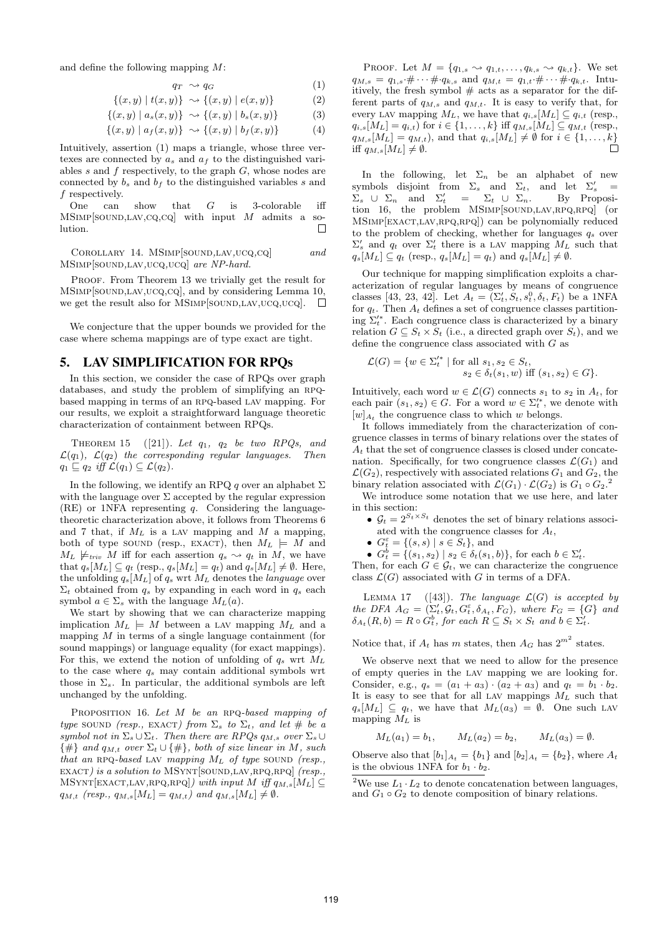and define the following mapping M:

$$
q_T \sim q_G \tag{1}
$$

$$
\{(x,y) \mid t(x,y)\} \sim \{(x,y) \mid e(x,y)\}
$$
 (2)

$$
\{(x,y) | a_s(x,y)\} \sim \{(x,y) | b_s(x,y)\}\tag{3}
$$

$$
\{(x,y) | a_f(x,y)\} \sim \{(x,y) | b_f(x,y)\} \tag{4}
$$

Intuitively, assertion (1) maps a triangle, whose three vertexes are connected by  $a_s$  and  $a_f$  to the distinguished variables  $s$  and  $f$  respectively, to the graph  $G$ , whose nodes are connected by  $b_s$  and  $b_f$  to the distinguished variables s and f respectively.

One can show that  $G$  is 3-colorable iff  $MSIMP[SOUND, LAV, CQ, CQ]$  with input M admits a so- $\Box$ lution.

COROLLARY 14. MSIMP[SOUND,LAV,UCQ,CQ] and MSIMP[SOUND,LAV,UCQ,UCQ] are NP-hard.

PROOF. From Theorem 13 we trivially get the result for MSIMP[SOUND,LAV,UCQ,CQ], and by considering Lemma 10, we get the result also for MSIMP[SOUND,LAV,UCQ,UCQ].  $\Box$ 

We conjecture that the upper bounds we provided for the case where schema mappings are of type exact are tight.

## 5. LAV SIMPLIFICATION FOR RPQs

In this section, we consider the case of RPQs over graph databases, and study the problem of simplifying an RPQbased mapping in terms of an rpq-based lav mapping. For our results, we exploit a straightforward language theoretic characterization of containment between RPQs.

THEOREM 15 ([21]). Let  $q_1$ ,  $q_2$  be two RPQs, and  $\mathcal{L}(q_1)$ ,  $\mathcal{L}(q_2)$  the corresponding regular languages. Then  $q_1 \sqsubseteq q_2$  iff  $\mathcal{L}(q_1) \subseteq \mathcal{L}(q_2)$ .

In the following, we identify an RPQ q over an alphabet  $\Sigma$ with the language over  $\Sigma$  accepted by the regular expression (RE) or 1NFA representing q. Considering the languagetheoretic characterization above, it follows from Theorems 6 and 7 that, if  $M_L$  is a LAV mapping and M a mapping, both of type sound (resp., EXACT), then  $M_L \models M$  and  $M_L \not\models_{\text{triv}} M$  iff for each assertion  $q_s \leadsto q_t$  in M, we have that  $q_s[M_L] \subseteq q_t$  (resp.,  $q_s[M_L] = q_t$ ) and  $q_s[M_L] \neq \emptyset$ . Here, the unfolding  $q_s[M_L]$  of  $q_s$  wrt  $M_L$  denotes the language over  $\Sigma_t$  obtained from  $q_s$  by expanding in each word in  $q_s$  each symbol  $a \in \Sigma_s$  with the language  $M_L(a)$ .

We start by showing that we can characterize mapping implication  $M_L \models M$  between a LAV mapping  $M_L$  and a mapping  $M$  in terms of a single language containment (for sound mappings) or language equality (for exact mappings). For this, we extend the notion of unfolding of  $q_s$  wrt  $M_L$ to the case where  $q_s$  may contain additional symbols wrt those in  $\Sigma_s$ . In particular, the additional symbols are left unchanged by the unfolding.

PROPOSITION 16. Let  $M$  be an RPQ-based mapping of type sound (resp., EXACT) from  $\Sigma_s$  to  $\Sigma_t$ , and let # be a symbol not in  $\Sigma_s \cup \Sigma_t$ . Then there are RPQs  $q_{M,s}$  over  $\Sigma_s \cup$  $\{\#\}$  and  $q_{M,t}$  over  $\Sigma_t \cup \{\#\}$ , both of size linear in M, such that an RPQ-based LAV mapping  $M_L$  of type SOUND (resp., EXACT) is a solution to MSYNT[SOUND,LAV,RPQ,RPQ] (resp.,  $M\text{SYNT}[\text{EXACT, LAV, RPQ, RPQ}]$ ) with input  $M$  iff  $q_{M,s}[M_L] \subseteq$  $q_{M,t}$  (resp.,  $q_{M,s}[M_L] = q_{M,t}$ ) and  $q_{M,s}[M_L] \neq \emptyset$ .

PROOF. Let  $M = \{q_{1,s} \leadsto q_{1,t}, \ldots, q_{k,s} \leadsto q_{k,t}\}.$  We set  $q_{M,s} = q_{1,s} \cdot \# \cdots \# q_{k,s}$  and  $q_{M,t} = q_{1,t} \cdot \# \cdots \# q_{k,t}$ . Intuitively, the fresh symbol  $#$  acts as a separator for the different parts of  $q_{M,s}$  and  $q_{M,t}$ . It is easy to verify that, for every LAV mapping  $M_L$ , we have that  $q_{i,s}[M_L] \subseteq q_{i,t}$  (resp.,  $q_{i,s}[M_L] = q_{i,t}$ ) for  $i \in \{1, ..., k\}$  iff  $q_{M,s}[M_L] \subseteq q_{M,t}$  (resp.,  $q_{M,s}[M_L] = q_{M,t}$ , and that  $q_{i,s}[M_L] \neq \emptyset$  for  $i \in \{1, \ldots, k\}$ <br>iff  $q_{M,t} \neq \emptyset$ iff  $q_{M,s}[M_L] \neq \emptyset$ .

In the following, let  $\Sigma_n$  be an alphabet of new symbols disjoint from  $\Sigma_s$  and  $\Sigma_t$ , and let  $\Sigma_s'$  =  $\Sigma_s \cup \Sigma_n$  and  $\Sigma'_t = \Sigma_t \cup \Sigma_n$ . By Proposition 16, the problem MSIMP[SOUND,LAV,RPQ,RPQ] (or MSimp[exact,lav,rpq,rpq]) can be polynomially reduced to the problem of checking, whether for languages  $q_s$  over  $\Sigma'_{s}$  and  $q_{t}$  over  $\Sigma'_{t}$  there is a LAV mapping  $M_{L}$  such that  $q_s[M_L] \subseteq q_t$  (resp.,  $q_s[M_L] = q_t$ ) and  $q_s[M_L] \neq \emptyset$ .

Our technique for mapping simplification exploits a characterization of regular languages by means of congruence classes [43, 23, 42]. Let  $A_t = (\Sigma_t', S_t, s_t^0, \delta_t, F_t)$  be a 1NFA for  $q_t$ . Then  $A_t$  defines a set of congruence classes partitioning  $\Sigma_t^{\prime*}$ . Each congruence class is characterized by a binary relation  $G \subseteq S_t \times S_t$  (i.e., a directed graph over  $S_t$ ), and we define the congruence class associated with G as

$$
\mathcal{L}(G) = \{ w \in \Sigma_t'^* \mid \text{for all } s_1, s_2 \in S_t, \\ s_2 \in \delta_t(s_1, w) \text{ iff } (s_1, s_2) \in G \}.
$$

Intuitively, each word  $w \in \mathcal{L}(G)$  connects  $s_1$  to  $s_2$  in  $A_t$ , for each pair  $(s_1, s_2) \in G$ . For a word  $w \in \Sigma_t^{s*}$ , we denote with  $[w]_{A_t}$  the congruence class to which w belongs.

It follows immediately from the characterization of congruence classes in terms of binary relations over the states of  $A_t$  that the set of congruence classes is closed under concatenation. Specifically, for two congruence classes  $\mathcal{L}(G_1)$  and  $\mathcal{L}(G_2)$ , respectively with associated relations  $G_1$  and  $G_2$ , the binary relation associated with  $\mathcal{L}(G_1) \cdot \mathcal{L}(G_2)$  is  $G_1 \circ G_2$ .

We introduce some notation that we use here, and later in this section:

- $\mathcal{G}_t = 2^{S_t \times S_t}$  denotes the set of binary relations associated with the congruence classes for  $A_t$ ,
- $G_t^{\varepsilon} = \{(s, s) \mid s \in S_t\}$ , and
- $G_t^b = \{(s_1, s_2) \mid s_2 \in \delta_t(s_1, b)\},\$  for each  $b \in \Sigma_t'.$

Then, for each  $G \in \mathcal{G}_t$ , we can characterize the congruence class  $\mathcal{L}(G)$  associated with G in terms of a DFA.

LEMMA 17 ([43]). The language  $\mathcal{L}(G)$  is accepted by the DFA  $A_G = (\Sigma_t', \mathcal{G}_t, G_t^{\varepsilon}, \delta_{A_t}, F_G)$ , where  $F_G = \{G\}$  and  $\delta_{A_t}(R, b) = R \circ G_t^b$ , for each  $R \subseteq S_t \times S_t$  and  $b \in \Sigma_t^{\prime}$ .

Notice that, if  $A_t$  has m states, then  $A_G$  has  $2^{m^2}$  states.

We observe next that we need to allow for the presence of empty queries in the lav mapping we are looking for. Consider, e.g.,  $q_s = (a_1 + a_3) \cdot (a_2 + a_3)$  and  $q_t = b_1 \cdot b_2$ . It is easy to see that for all LAV mappings  $M_L$  such that  $q_s[M_L] \subseteq q_t$ , we have that  $M_L(a_3) = \emptyset$ . One such LAV mapping  $M_L$  is

$$
M_L(a_1) = b_1,
$$
  $M_L(a_2) = b_2,$   $M_L(a_3) = \emptyset.$ 

Observe also that  $[b_1]_{A_t} = \{b_1\}$  and  $[b_2]_{A_t} = \{b_2\}$ , where  $A_t$ is the obvious 1NFA for  $b_1 \cdot b_2$ .

<sup>&</sup>lt;sup>2</sup>We use  $L_1 \cdot L_2$  to denote concatenation between languages, and  $G_1 \circ G_2$  to denote composition of binary relations.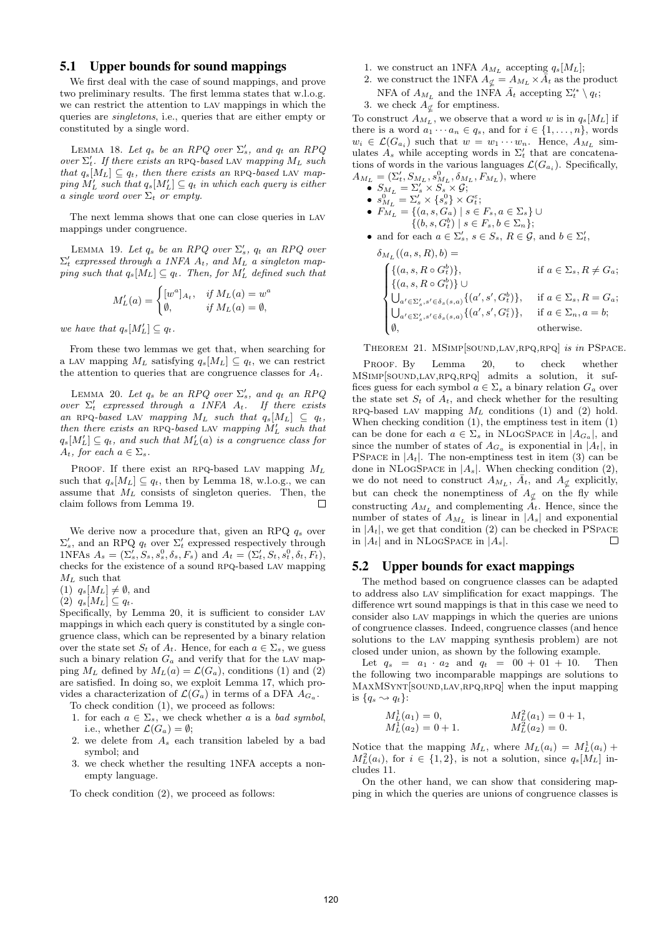# 5.1 Upper bounds for sound mappings

We first deal with the case of sound mappings, and prove two preliminary results. The first lemma states that w.l.o.g. we can restrict the attention to lav mappings in which the queries are singletons, i.e., queries that are either empty or constituted by a single word.

LEMMA 18. Let  $q_s$  be an RPQ over  $\Sigma'_s$ , and  $q_t$  an RPQ over  $\Sigma'_t$ . If there exists an RPQ-based LAV mapping  $M_L$  such that  $q_s[M_L] \subseteq q_t$ , then there exists an RPQ-based LAV map- $\textit{ping } M'_L \textit{ such that } q_s[M'_L] \subseteq q_t \textit{ in which each query is either}$ a single word over  $\Sigma_t$  or empty.

The next lemma shows that one can close queries in lav mappings under congruence.

LEMMA 19. Let  $q_s$  be an RPQ over  $\Sigma'_s$ ,  $q_t$  an RPQ over  $\Sigma_t'$  expressed through a 1NFA  $A_t$ , and  $M_L$  a singleton mapping such that  $q_s[M_L] \subseteq q_t$ . Then, for  $M'_L$  defined such that

$$
M'_L(a) = \begin{cases} [w^a]_{A_t}, & \text{if } M_L(a) = w^a \\ \emptyset, & \text{if } M_L(a) = \emptyset, \end{cases}
$$

we have that  $q_s[M'_L] \subseteq q_t$ .

From these two lemmas we get that, when searching for a LAV mapping  $M_L$  satisfying  $q_s[M_L] \subseteq q_t$ , we can restrict the attention to queries that are congruence classes for  $A_t$ .

LEMMA 20. Let  $q_s$  be an RPQ over  $\Sigma'_s$ , and  $q_t$  an RPQ over  $\Sigma'_t$  expressed through a 1NFA  $A_t$ . If there exists an RPQ-based LAV mapping  $M_L$  such that  $q_s[M_L] \subseteq q_t$ , then there exists an RPQ-based LAV mapping  $M'_L$  such that  $q_s[M'_L] \subseteq q_t$ , and such that  $M'_L(a)$  is a congruence class for  $A_t$ , for each  $a \in \Sigma_s$ .

PROOF. If there exist an RPQ-based LAV mapping  $M_L$ such that  $q_s[M_L] \subseteq q_t$ , then by Lemma 18, w.l.o.g., we can assume that  $M_L$  consists of singleton queries. Then, the claim follows from Lemma 19.  $\Box$ 

We derive now a procedure that, given an RPQ  $q_s$  over  $\Sigma_s'$ , and an RPQ  $q_t$  over  $\Sigma_t'$  expressed respectively through 1NFAs  $A_s = (\Sigma'_s, S_s, s_s^0, \delta_s, F_s)$  and  $A_t = (\Sigma'_t, S_t, s_t^0, \delta_t, F_t)$ , checks for the existence of a sound RPQ-based LAV mapping  $M_L$  such that

(1)  $q_s[M_L] \neq \emptyset$ , and

(2)  $q_s[M_L] \subseteq q_t$ .

Specifically, by Lemma 20, it is sufficient to consider lav mappings in which each query is constituted by a single congruence class, which can be represented by a binary relation over the state set  $S_t$  of  $A_t$ . Hence, for each  $a \in \Sigma_s$ , we guess such a binary relation  $G_a$  and verify that for the LAV mapping  $M_L$  defined by  $M_L(a) = \mathcal{L}(G_a)$ , conditions (1) and (2) are satisfied. In doing so, we exploit Lemma 17, which provides a characterization of  $\mathcal{L}(G_a)$  in terms of a DFA  $A_{G_a}$ .

To check condition (1), we proceed as follows:

- 1. for each  $a \in \Sigma_s$ , we check whether a is a bad symbol, i.e., whether  $\mathcal{L}(G_a) = \emptyset$ ;
- 2. we delete from  $A_s$  each transition labeled by a bad symbol; and
- 3. we check whether the resulting 1NFA accepts a nonempty language.

To check condition (2), we proceed as follows:

- 1. we construct an 1NFA  $A_{M_L}$  accepting  $q_s[M_L];$
- 2. we construct the 1NFA  $A_{\not L} = A_{M_L} \times \bar{A}_t$  as the product NFA of  $A_{M_L}$  and the 1NFA  $\bar{A}_t$  accepting  $\Sigma_t^{\prime *} \setminus q_t$ ;

3. we check  $A_{\not\subset}$  for emptiness.

To construct  $A_{M_L}$ , we observe that a word w is in  $q_s[M_L]$  if there is a word  $a_1 \cdots a_n \in q_s$ , and for  $i \in \{1, \ldots, n\}$ , words  $w_i \in \mathcal{L}(G_{a_i})$  such that  $w = w_1 \cdots w_n$ . Hence,  $A_{M_L}$  simulates  $A_s$  while accepting words in  $\Sigma'_t$  that are concatenations of words in the various languages  $\mathcal{L}(G_{a_i})$ . Specifically,  $A_{M_L} = (\Sigma_t', S_{M_L}, s_{M_L}^0, \delta_{M_L}, F_{M_L}),$  where

$$
\bullet \ \ S_{M_L} = \Sigma_s' \times S_s \times \mathcal{G};
$$

• 
$$
s_{M_L}^0 = \Sigma_s' \times \{s_s^0\} \times G_t^{\varepsilon};
$$
  
\n•  $F_{M_L} = \{(a, s, G_a) \mid s \in F_s, a \in \Sigma_s\} \cup \{(b, s, G_t^b) \mid s \in F_s, b \in \Sigma_n\};$ 

• and for each  $a \in \Sigma_s'$ ,  $s \in S_s$ ,  $R \in \mathcal{G}$ , and  $b \in \Sigma_t'$ ,

$$
\delta_{M_L}((a, s, R), b) =
$$
\n
$$
\begin{cases}\n\{(a, s, R \circ G_t^b)\}, & \text{if } a \in \Sigma_s, R \neq G_a; \\
\{(a, s, R \circ G_t^b)\} \cup \\
\bigcup_{a' \in \Sigma'_s, s' \in \delta_s(s, a)} \{(a', s', G_t^b)\}, & \text{if } a \in \Sigma_s, R = G_a; \\
\bigcup_{a' \in \Sigma'_s, s' \in \delta_s(s, a)} \{(a', s', G_t^{\varepsilon})\}, & \text{if } a \in \Sigma_n, a = b; \\
\emptyset, & \text{otherwise.} \n\end{cases}
$$

THEOREM 21. MSIMP[SOUND,LAV,RPQ,RPQ] is in PSPACE.

PROOF. By Lemma 20, to check whether MSimp[sound,lav,rpq,rpq] admits a solution, it suffices guess for each symbol  $a \in \Sigma_s$  a binary relation  $G_a$  over the state set  $S_t$  of  $A_t$ , and check whether for the resulting RPQ-based LAV mapping  $M_L$  conditions (1) and (2) hold. When checking condition (1), the emptiness test in item (1) can be done for each  $a \in \Sigma_s$  in NLOGSPACE in  $|A_{G_a}|$ , and since the number of states of  $A_{G_a}$  is exponential in  $|A_t|$ , in PSPACE in  $|A_t|$ . The non-emptiness test in item (3) can be done in NLOGSPACE in  $|A_s|$ . When checking condition (2), we do not need to construct  $A_{M_L}$ ,  $\bar{A}_t$ , and  $A_{\not\subset}$  explicitly, but can check the nonemptiness of  $A_{\not\subset}$  on the fly while constructing  $A_{M_L}$  and complementing  $A_t$ . Hence, since the number of states of  $A_{M_L}$  is linear in  $|A_s|$  and exponential in  $|A_t|$ , we get that condition (2) can be checked in PSPACE in  $|A_t|$  and in NLOGSPACE in  $|A_s|$ .  $\Box$ 

#### 5.2 Upper bounds for exact mappings

The method based on congruence classes can be adapted to address also lav simplification for exact mappings. The difference wrt sound mappings is that in this case we need to consider also lav mappings in which the queries are unions of congruence classes. Indeed, congruence classes (and hence solutions to the lav mapping synthesis problem) are not closed under union, as shown by the following example.

Let  $q_s = a_1 \cdot a_2$  and  $q_t = 00 + 01 + 10$ . Then the following two incomparable mappings are solutions to MAXMSYNT[SOUND,LAV,RPQ,RPQ] when the input mapping is  ${q_s \rightsquigarrow q_t}$ :

$$
M_L^1(a_1) = 0,
$$
  
\n
$$
M_L^2(a_1) = 0 + 1,
$$
  
\n
$$
M_L^2(a_2) = 0 + 1,
$$
  
\n
$$
M_L^2(a_2) = 0.
$$

Notice that the mapping  $M_L$ , where  $M_L(a_i) = M_L^1(a_i)$  +  $M_L^2(a_i)$ , for  $i \in \{1,2\}$ , is not a solution, since  $q_s[M_L]$  includes 11.

On the other hand, we can show that considering mapping in which the queries are unions of congruence classes is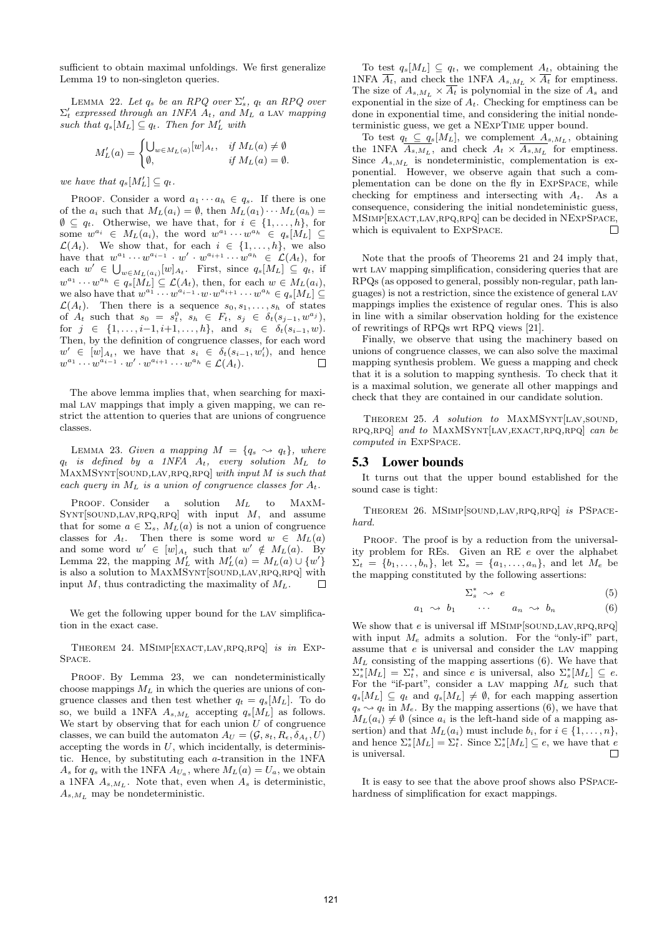sufficient to obtain maximal unfoldings. We first generalize Lemma 19 to non-singleton queries.

LEMMA 22. Let  $q_s$  be an RPQ over  $\Sigma'_s$ ,  $q_t$  an RPQ over  $\Sigma'_t$  expressed through an 1NFA  $A_t$ , and  $M_L$  a LAV mapping such that  $q_s[M_L] \subseteq q_t$ . Then for  $M'_L$  with

$$
M'_L(a) = \begin{cases} \bigcup_{w \in M_L(a)} [w]_{A_t}, & \text{if } M_L(a) \neq \emptyset \\ \emptyset, & \text{if } M_L(a) = \emptyset. \end{cases}
$$

we have that  $q_s[M'_L] \subseteq q_t$ .

PROOF. Consider a word  $a_1 \cdots a_h \in q_s$ . If there is one of the  $a_i$  such that  $M_L(a_i) = \emptyset$ , then  $M_L(a_1) \cdots M_L(a_h) =$  $\emptyset \subseteq q_t$ . Otherwise, we have that, for  $i \in \{1, ..., h\}$ , for some  $w^{a_i} \in M_L(a_i)$ , the word  $w^{a_1} \cdots w^{a_h} \in q_s[M_L] \subseteq$  $\mathcal{L}(A_t)$ . We show that, for each  $i \in \{1, ..., h\}$ , we also have that  $w^{a_1} \cdots w^{a_{i-1}} \cdot w' \cdot w^{a_{i+1}} \cdots w^{a_h} \in \mathcal{L}(A_t)$ , for each  $w' \in \bigcup_{w \in M_L(a_i)} [w]_{A_t}$ . First, since  $q_s[M_L] \subseteq q_t$ , if  $w^{a_1} \cdots w^{a_h} \in q_s[\tilde{M}_L] \subseteq \mathcal{L}(A_t)$ , then, for each  $w \in M_L(a_i)$ , we also have that  $w^{a_1} \cdots w^{a_{i-1}} \cdot w \cdot w^{a_{i+1}} \cdots w^{a_h} \in q_s[M_L] \subseteq$  $\mathcal{L}(A_t)$ . Then there is a sequence  $s_0, s_1, \ldots, s_h$  of states of  $A_t$  such that  $s_0 = s_t^0$ ,  $s_h \in F_t$ ,  $s_j \in \delta_t(s_{j-1}, w^{a_j})$ , for  $j \in \{1, \ldots, i-1, i+1, \ldots, h\}$ , and  $s_i \in \delta_t(s_{i-1}, w)$ . Then, by the definition of congruence classes, for each word  $w' \in [w]_{A_t}$ , we have that  $s_i \in \delta_t(s_{i-1}, w'_i)$ , and hence  $w^{a_1} \cdots w^{a_{i-1}} \cdot w' \cdot w^{a_{i+1}} \cdots w^{a_h} \in \mathcal{L}(A_t).$ 

The above lemma implies that, when searching for maximal lav mappings that imply a given mapping, we can restrict the attention to queries that are unions of congruence classes.

LEMMA 23. Given a mapping  $M = \{q_s \leadsto q_t\}$ , where  $q_t$  is defined by a 1NFA  $A_t$ , every solution  $M_L$  to  $MAXMSYNT[SOUND, LAV, RPQ, RPQ] with input M is such that$ each query in  $M_L$  is a union of congruence classes for  $A_t$ .

PROOF. Consider a solution  $M_L$  to MAXM- $SYNT[SOUND, LAV, RPQ, RPQ]$  with input  $M$ , and assume that for some  $a \in \Sigma_s$ ,  $M_L(a)$  is not a union of congruence classes for  $A_t$ . Then there is some word  $w \in M_L(a)$ and some word  $w' \in [w]_{A_t}$  such that  $w' \notin M_L(a)$ . By Lemma 22, the mapping  $M'_{L}$  with  $M'_{L}(a) = M_{L}(a) \cup \{w'\}$ is also a solution to MAXMSYNT[SOUND,LAV,RPQ,RPQ] with input M, thus contradicting the maximality of  $M_L$ .

We get the following upper bound for the LAV simplification in the exact case.

THEOREM 24. MSIMP EXACT, LAV, RPQ, RPQ is in EXP-Space.

PROOF. By Lemma 23, we can nondeterministically choose mappings  $M_L$  in which the queries are unions of congruence classes and then test whether  $q_t = q_s[M_L]$ . To do so, we build a 1NFA  $A_{s,M_L}$  accepting  $q_s[M_L]$  as follows. We start by observing that for each union  $U$  of congruence classes, we can build the automaton  $A_U = (\mathcal{G}, s_t, R_{\epsilon}, \delta_{A_t}, U)$ accepting the words in  $U$ , which incidentally, is deterministic. Hence, by substituting each a-transition in the 1NFA  $A_s$  for  $q_s$  with the 1NFA  $A_{U_a}$ , where  $M_L(a) = U_a$ , we obtain a 1NFA  $A_{s,M_L}$ . Note that, even when  $A_s$  is deterministic,  $A_{s,M_L}$  may be nondeterministic.

To test  $q_s[M_L] \subseteq q_t$ , we complement  $A_t$ , obtaining the 1NFA  $\overline{A_t}$ , and check the 1NFA  $A_{s,M_L} \times \overline{A_t}$  for emptiness. The size of  $A_{s,M_L} \times \overline{A_t}$  is polynomial in the size of  $A_s$  and exponential in the size of  $A_t$ . Checking for emptiness can be done in exponential time, and considering the initial nondeterministic guess, we get a NExpTime upper bound.

To test  $q_t \subseteq q_s[M_L]$ , we complement  $A_{s,M_L}$ , obtaining the 1NFA  $A_{s,M_L}$ , and check  $A_t \times A_{s,M_L}$  for emptiness. Since  $A_{s,M_L}$  is nondeterministic, complementation is exponential. However, we observe again that such a complementation can be done on the fly in ExpSpace, while checking for emptiness and intersecting with  $A_t$ . As a consequence, considering the initial nondeteministic guess, MSimp[exact,lav,rpq,rpq] can be decided in NExpSpace, which is equivalent to ExpSpace.  $\Box$ 

Note that the proofs of Theorems 21 and 24 imply that, wrt LAV mapping simplification, considering queries that are RPQs (as opposed to general, possibly non-regular, path languages) is not a restriction, since the existence of general lav mappings implies the existence of regular ones. This is also in line with a similar observation holding for the existence of rewritings of RPQs wrt RPQ views [21].

Finally, we observe that using the machinery based on unions of congruence classes, we can also solve the maximal mapping synthesis problem. We guess a mapping and check that it is a solution to mapping synthesis. To check that it is a maximal solution, we generate all other mappings and check that they are contained in our candidate solution.

THEOREM 25. A solution to MAXMSYNT[LAV, SOUND, rpq,rpq] and to MaxMSynt[lav,exact,rpq,rpq] can be computed in ExpSpace.

## 5.3 Lower bounds

It turns out that the upper bound established for the sound case is tight:

Theorem 26. MSimp[sound,lav,rpq,rpq] is PSpacehard.

PROOF. The proof is by a reduction from the universality problem for REs. Given an RE e over the alphabet  $\Sigma_t = \{b_1, \ldots, b_n\}, \text{ let } \Sigma_s = \{a_1, \ldots, a_n\}, \text{ and let } M_e \text{ be }$ the mapping constituted by the following assertions:

$$
\Sigma_s^* \sim e \tag{5}
$$

$$
a_1 \rightsquigarrow b_1 \qquad \cdots \qquad a_n \rightsquigarrow b_n \tag{6}
$$

We show that  $e$  is universal iff MSIMP[SOUND,LAV,RPQ,RPQ] with input  $M_e$  admits a solution. For the "only-if" part, assume that e is universal and consider the lav mapping  $M_L$  consisting of the mapping assertions (6). We have that  $\Sigma_s^*[M_L] = \Sigma_t^*$ , and since e is universal, also  $\Sigma_s^*[M_L] \subseteq e$ . For the "if-part", consider a LAV mapping  $M_L$  such that  $q_s[M_L] \subseteq q_t$  and  $q_s[M_L] \neq \emptyset$ , for each mapping assertion  $q_s \rightarrow q_t$  in  $M_e$ . By the mapping assertions (6), we have that  $M_L(a_i) \neq \emptyset$  (since  $a_i$  is the left-hand side of a mapping assertion) and that  $M_L(a_i)$  must include  $b_i$ , for  $i \in \{1, \ldots, n\}$ , and hence  $\Sigma_s^*[M_L] = \Sigma_t^*$ . Since  $\Sigma_s^*[M_L] \subseteq e$ , we have that e is universal.  $\Box$ 

It is easy to see that the above proof shows also PSpacehardness of simplification for exact mappings.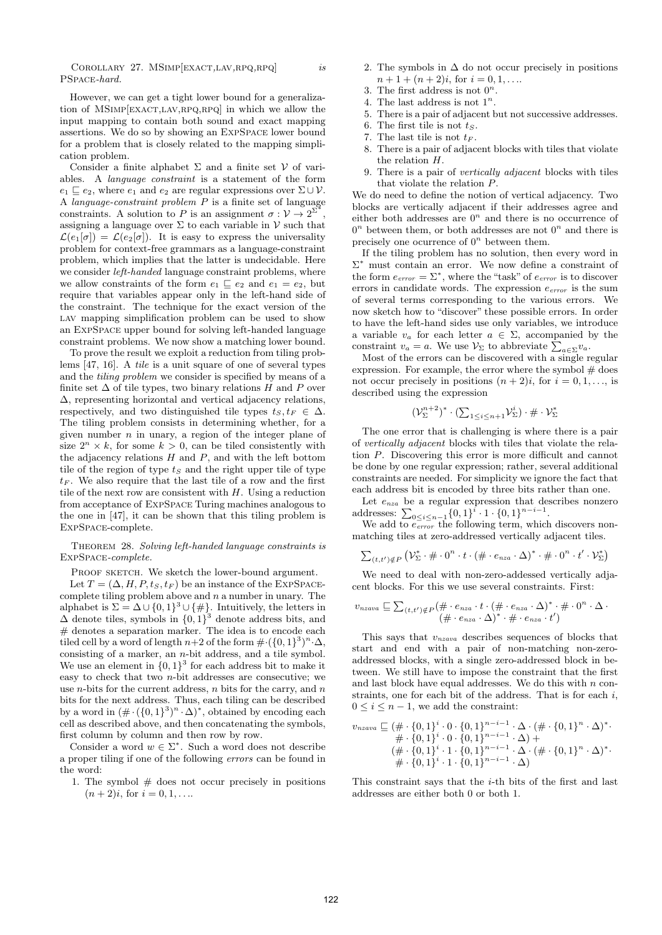COROLLARY 27. MSIMP[EXACT,LAV,RPQ,RPQ] is PSpace-hard.

However, we can get a tight lower bound for a generalization of MSIMP[EXACT,LAV,RPQ,RPQ] in which we allow the input mapping to contain both sound and exact mapping assertions. We do so by showing an ExpSpace lower bound for a problem that is closely related to the mapping simplication problem.

Consider a finite alphabet  $\Sigma$  and a finite set  $V$  of variables. A language constraint is a statement of the form  $e_1 \sqsubseteq e_2$ , where  $e_1$  and  $e_2$  are regular expressions over  $\Sigma \cup \mathcal{V}$ . A language-constraint problem P is a finite set of language constraints. A solution to P is an assignment  $\sigma : \mathcal{V} \to 2^{\Sigma^*}$ , assigning a language over  $\Sigma$  to each variable in  $V$  such that  $\mathcal{L}(e_1[\sigma]) = \mathcal{L}(e_2[\sigma])$ . It is easy to express the universality problem for context-free grammars as a language-constraint problem, which implies that the latter is undecidable. Here we consider *left-handed* language constraint problems, where we allow constraints of the form  $e_1 \sqsubseteq e_2$  and  $e_1 = e_2$ , but require that variables appear only in the left-hand side of the constraint. The technique for the exact version of the LAV mapping simplification problem can be used to show an ExpSpace upper bound for solving left-handed language constraint problems. We now show a matching lower bound.

To prove the result we exploit a reduction from tiling problems [47, 16]. A tile is a unit square of one of several types and the tiling problem we consider is specified by means of a finite set  $\Delta$  of tile types, two binary relations H and P over ∆, representing horizontal and vertical adjacency relations, respectively, and two distinguished tile types  $t_S, t_F \in \Delta$ . The tiling problem consists in determining whether, for a given number  $n$  in unary, a region of the integer plane of size  $2^n \times k$ , for some  $k > 0$ , can be tiled consistently with the adjacency relations  $H$  and  $P$ , and with the left bottom tile of the region of type  $t<sub>S</sub>$  and the right upper tile of type  $t_F$ . We also require that the last tile of a row and the first tile of the next row are consistent with  $H$ . Using a reduction from acceptance of ExpSpace Turing machines analogous to the one in [47], it can be shown that this tiling problem is ExpSpace-complete.

## Theorem 28. Solving left-handed language constraints is ExpSpace-complete.

PROOF SKETCH. We sketch the lower-bound argument. Let  $T = (\Delta, H, P, t_S, t_F)$  be an instance of the EXPSPACEcomplete tiling problem above and  $n$  a number in unary. The alphabet is  $\Sigma = \Delta \cup \{0,1\}^3 \cup \{\#\}.$  Intuitively, the letters in  $\Delta$  denote tiles, symbols in  $\{0,1\}^3$  denote address bits, and # denotes a separation marker. The idea is to encode each tiled cell by a word of length  $n+2$  of the form  $\# \cdot (\{0,1\}^3)^n \cdot \Delta$ , consisting of a marker, an n-bit address, and a tile symbol. We use an element in  $\{0,1\}^3$  for each address bit to make it easy to check that two n-bit addresses are consecutive; we use *n*-bits for the current address, *n* bits for the carry, and *n* bits for the next address. Thus, each tiling can be described by a word in  $(\# \cdot (\{0,1\}^3)^n \cdot \Delta)^*$ , obtained by encoding each cell as described above, and then concatenating the symbols, first column by column and then row by row.

Consider a word  $w \in \Sigma^*$ . Such a word does not describe a proper tiling if one of the following errors can be found in the word:

1. The symbol  $#$  does not occur precisely in positions  $(n+2)i$ , for  $i = 0, 1, \ldots$ 

- 2. The symbols in  $\Delta$  do not occur precisely in positions  $n+1+(n+2)i$ , for  $i=0,1,...$
- 3. The first address is not  $0^n$ .
- 4. The last address is not  $1^n$ .
- 5. There is a pair of adjacent but not successive addresses.
- 6. The first tile is not  $t<sub>S</sub>$ .
- 7. The last tile is not  $t_F$ .
- 8. There is a pair of adjacent blocks with tiles that violate the relation H.
- 9. There is a pair of vertically adjacent blocks with tiles that violate the relation P.

We do need to define the notion of vertical adjacency. Two blocks are vertically adjacent if their addresses agree and either both addresses are  $0<sup>n</sup>$  and there is no occurrence of  $0<sup>n</sup>$  between them, or both addresses are not  $0<sup>n</sup>$  and there is precisely one ocurrence of  $0<sup>n</sup>$  between them.

If the tiling problem has no solution, then every word in Σ <sup>∗</sup> must contain an error. We now define a constraint of the form  $e_{error} = \sum^*$ , where the "task" of  $e_{error}$  is to discover errors in candidate words. The expression  $e_{error}$  is the sum of several terms corresponding to the various errors. We now sketch how to "discover" these possible errors. In order to have the left-hand sides use only variables, we introduce a variable  $v_a$  for each letter  $a \in \Sigma$ , accompanied by the constraint  $v_a = a$ . We use  $\mathcal{V}_\Sigma$  to abbreviate  $\sum_{a \in \Sigma} v_a$ .

Most of the errors can be discovered with a single regular expression. For example, the error where the symbol  $\#$  does not occur precisely in positions  $(n + 2)i$ , for  $i = 0, 1, \ldots$ , is described using the expression

$$
(\mathcal{V}_{\Sigma}^{n+2})^* \cdot (\textstyle\sum_{1 \leq i \leq n+1} \mathcal{V}_{\Sigma}^i) \cdot \#\cdot \mathcal{V}_{\Sigma}^*
$$

The one error that is challenging is where there is a pair of vertically adjacent blocks with tiles that violate the relation P. Discovering this error is more difficult and cannot be done by one regular expression; rather, several additional constraints are needed. For simplicity we ignore the fact that each address bit is encoded by three bits rather than one.

Let  $e_{nza}$  be a regular expression that describes nonzero addresses:  $\sum_{0 \leq i \leq n-1} {\{0,1\}}^i \cdot 1 \cdot {\{0,1\}}^{n-i-1}$ .

We add to  $e_{error}^{-}$  the following term, which discovers nonmatching tiles at zero-addressed vertically adjacent tiles.

$$
\sum_{(t,t')\notin P} (\mathcal{V}_{\Sigma}^* \cdot # \cdot 0^n \cdot t \cdot (\# \cdot e_{nza} \cdot \Delta)^* \cdot # \cdot 0^n \cdot t' \cdot \mathcal{V}_{\Sigma}^*)
$$

We need to deal with non-zero-addessed vertically adjacent blocks. For this we use several constraints. First:

$$
v_{nzava} \sqsubseteq \sum_{(t,t') \notin P} (\# \cdot e_{nza} \cdot t \cdot (\# \cdot e_{nza} \cdot \Delta)^* \cdot \# \cdot 0^n \cdot \Delta \cdot (\# \cdot e_{nza} \cdot \Delta)^* \cdot \# \cdot e_{nza} \cdot t')
$$

This says that  $v_{nzava}$  describes sequences of blocks that start and end with a pair of non-matching non-zeroaddressed blocks, with a single zero-addressed block in between. We still have to impose the constraint that the first and last block have equal addresses. We do this with  $n$  constraints, one for each bit of the address. That is for each i,  $0 \leq i \leq n-1$ , we add the constraint:

$$
v_{nzava} \sqsubseteq (\# \cdot \{0,1\}^{i} \cdot 0 \cdot \{0,1\}^{n-i-1} \cdot \Delta \cdot (\# \cdot \{0,1\}^{n} \cdot \Delta)^{*} \cdot \newline \qquad \# \cdot \{0,1\}^{i} \cdot 0 \cdot \{0,1\}^{n-i-1} \cdot \Delta) + \newline (\# \cdot \{0,1\}^{i} \cdot 1 \cdot \{0,1\}^{n-i-1} \cdot \Delta \cdot (\# \cdot \{0,1\}^{n} \cdot \Delta)^{*} \cdot \newline \qquad \# \cdot \{0,1\}^{i} \cdot 1 \cdot \{0,1\}^{n-i-1} \cdot \Delta)
$$

This constraint says that the  $i$ -th bits of the first and last addresses are either both 0 or both 1.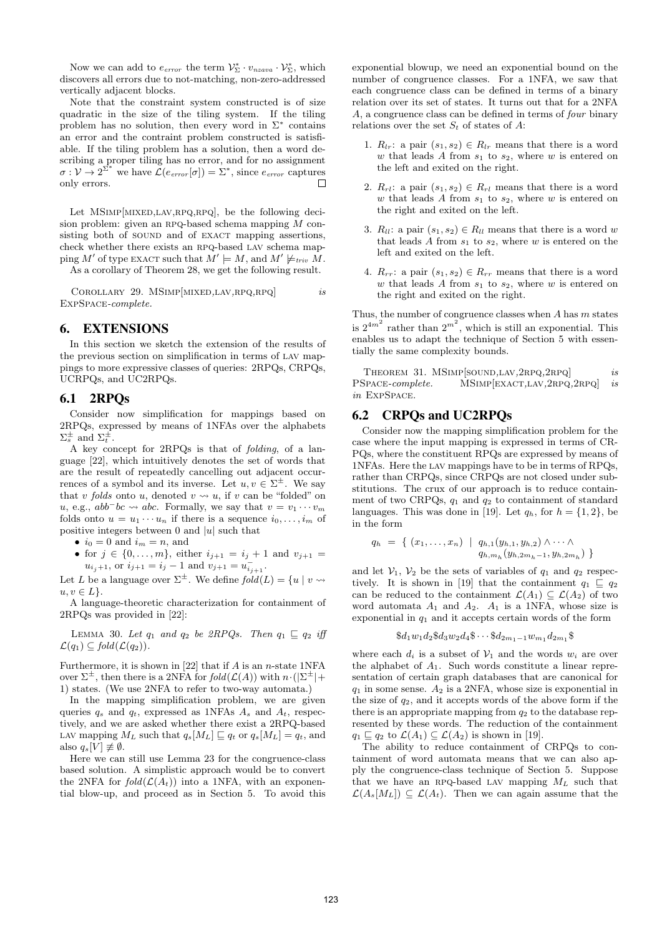Now we can add to  $e_{error}$  the term  $\mathcal{V}_{\Sigma}^* \cdot v_{nzava} \cdot \mathcal{V}_{\Sigma}^*$ , which discovers all errors due to not-matching, non-zero-addressed vertically adjacent blocks.

Note that the constraint system constructed is of size quadratic in the size of the tiling system. If the tiling problem has no solution, then every word in  $\Sigma^*$  contains an error and the contraint problem constructed is satisfiable. If the tiling problem has a solution, then a word describing a proper tiling has no error, and for no assignment  $\sigma: {\mathcal V} \stackrel{\smallsmile}{\to} 2^{\Sigma^*}$ we have  $\mathcal{L}(e_{error}[\sigma]) = \Sigma^*$ , since  $e_{error}$  captures only errors.  $\Box$ 

Let MSIMP[MIXED,LAV,RPQ,RPQ], be the following decision problem: given an RPQ-based schema mapping  $M$  consisting both of SOUND and of EXACT mapping assertions, check whether there exists an RPQ-based LAV schema mapping M' of type EXACT such that  $M' \models M$ , and  $M' \not\models_{triv} M$ .

As a corollary of Theorem 28, we get the following result.

COROLLARY 29. MSIMP[MIXED,LAV,RPQ,RPQ] is ExpSpace-complete.

# 6. EXTENSIONS

In this section we sketch the extension of the results of the previous section on simplification in terms of lav mappings to more expressive classes of queries: 2RPQs, CRPQs, UCRPQs, and UC2RPQs.

## 6.1 2RPQs

Consider now simplification for mappings based on 2RPQs, expressed by means of 1NFAs over the alphabets  $\Sigma_s^{\pm}$  and  $\Sigma_t^{\pm}$ .

A key concept for 2RPQs is that of folding, of a language [22], which intuitively denotes the set of words that are the result of repeatedly cancelling out adjacent occurrences of a symbol and its inverse. Let  $u, v \in \Sigma^{\pm}$ . We say that v folds onto u, denoted  $v \leadsto u$ , if v can be "folded" on u, e.g.,  $abb^-bc \rightsquigarrow abc$ . Formally, we say that  $v = v_1 \cdots v_m$ folds onto  $u = u_1 \cdots u_n$  if there is a sequence  $i_0, \ldots, i_m$  of positive integers between  $0$  and  $|u|$  such that

- $i_0 = 0$  and  $i_m = n$ , and
- for  $j \in \{0, ..., m\}$ , either  $i_{i+1} = i_i + 1$  and  $v_{i+1} =$  $u_{i_j+1}$ , or  $i_{j+1} = i_j - 1$  and  $v_{j+1} = u_{i_{j+1}}^-$ .

Let L be a language over  $\Sigma^{\pm}$ . We define  $fold(L) = \{u \mid v \leadsto$  $u, v \in L$ .

A language-theoretic characterization for containment of 2RPQs was provided in [22]:

LEMMA 30. Let  $q_1$  and  $q_2$  be 2RPQs. Then  $q_1 \sqsubseteq q_2$  iff  $\mathcal{L}(q_1) \subseteq \text{fold}(\mathcal{L}(q_2)).$ 

Furthermore, it is shown in  $[22]$  that if A is an n-state 1NFA over  $\Sigma^{\pm}$ , then there is a 2NFA for  $fold(\mathcal{L}(A))$  with  $n \cdot (|\Sigma^{\pm}| +$ 1) states. (We use 2NFA to refer to two-way automata.)

In the mapping simplification problem, we are given queries  $q_s$  and  $q_t$ , expressed as 1NFAs  $A_s$  and  $A_t$ , respectively, and we are asked whether there exist a 2RPQ-based LAV mapping  $M_L$  such that  $q_s[M_L] \sqsubseteq q_t$  or  $q_s[M_L] = q_t$ , and also  $q_s[V] \not\equiv \emptyset$ .

Here we can still use Lemma 23 for the congruence-class based solution. A simplistic approach would be to convert the 2NFA for  $fold(\mathcal{L}(A_t))$  into a 1NFA, with an exponential blow-up, and proceed as in Section 5. To avoid this

exponential blowup, we need an exponential bound on the number of congruence classes. For a 1NFA, we saw that each congruence class can be defined in terms of a binary relation over its set of states. It turns out that for a 2NFA A, a congruence class can be defined in terms of four binary relations over the set  $S_t$  of states of A:

- 1.  $R_{lr}:$  a pair  $(s_1, s_2) \in R_{lr}$  means that there is a word w that leads A from  $s_1$  to  $s_2$ , where w is entered on the left and exited on the right.
- 2.  $R_{rl}:$  a pair  $(s_1, s_2) \in R_{rl}$  means that there is a word w that leads A from  $s_1$  to  $s_2$ , where w is entered on the right and exited on the left.
- 3.  $R_{ll}$ : a pair  $(s_1, s_2) \in R_{ll}$  means that there is a word w that leads A from  $s_1$  to  $s_2$ , where w is entered on the left and exited on the left.
- 4.  $R_{rr}$ : a pair  $(s_1, s_2) \in R_{rr}$  means that there is a word w that leads  $A$  from  $s_1$  to  $s_2$ , where w is entered on the right and exited on the right.

Thus, the number of congruence classes when  $A$  has  $m$  states is  $2^{4m^2}$  rather than  $2^{m^2}$ , which is still an exponential. This enables us to adapt the technique of Section 5 with essentially the same complexity bounds.

THEOREM 31. MSIMP[SOUND,LAV,2RPQ,2RPQ] is PSPACE-complete. MSIMP[EXACT,LAV,2RPQ,2RPQ] is in ExpSpace.

# 6.2 CRPQs and UC2RPQs

Consider now the mapping simplification problem for the case where the input mapping is expressed in terms of CR-PQs, where the constituent RPQs are expressed by means of 1NFAs. Here the lav mappings have to be in terms of RPQs, rather than CRPQs, since CRPQs are not closed under substitutions. The crux of our approach is to reduce containment of two CRPQs,  $q_1$  and  $q_2$  to containment of standard languages. This was done in [19]. Let  $q_h$ , for  $h = \{1, 2\}$ , be in the form

$$
q_h = \{ (x_1, \ldots, x_n) \mid q_{h,1}(y_{h,1}, y_{h,2}) \wedge \cdots \wedge q_{h,m_h}(y_{h,2m_h-1}, y_{h,2m_h}) \}
$$

and let  $V_1$ ,  $V_2$  be the sets of variables of  $q_1$  and  $q_2$  respectively. It is shown in [19] that the containment  $q_1 \sqsubseteq q_2$ can be reduced to the containment  $\mathcal{L}(A_1) \subseteq \mathcal{L}(A_2)$  of two word automata  $A_1$  and  $A_2$ .  $A_1$  is a 1NFA, whose size is exponential in  $q_1$  and it accepts certain words of the form

$$
\$d_1w_1d_2\$d_3w_2d_4\$ \cdots \$d_{2m_1-1}w_{m_1}d_{2m_1}\$
$$

where each  $d_i$  is a subset of  $\mathcal{V}_1$  and the words  $w_i$  are over the alphabet of  $A_1$ . Such words constitute a linear representation of certain graph databases that are canonical for  $q_1$  in some sense.  $A_2$  is a 2NFA, whose size is exponential in the size of  $q_2$ , and it accepts words of the above form if the there is an appropriate mapping from  $q_2$  to the database represented by these words. The reduction of the containment  $q_1 \sqsubseteq q_2$  to  $\mathcal{L}(A_1) \subseteq \mathcal{L}(A_2)$  is shown in [19].

The ability to reduce containment of CRPQs to containment of word automata means that we can also apply the congruence-class technique of Section 5. Suppose that we have an RPQ-based LAV mapping  $M_L$  such that  $\mathcal{L}(A_s|M_L|) \subseteq \mathcal{L}(A_t)$ . Then we can again assume that the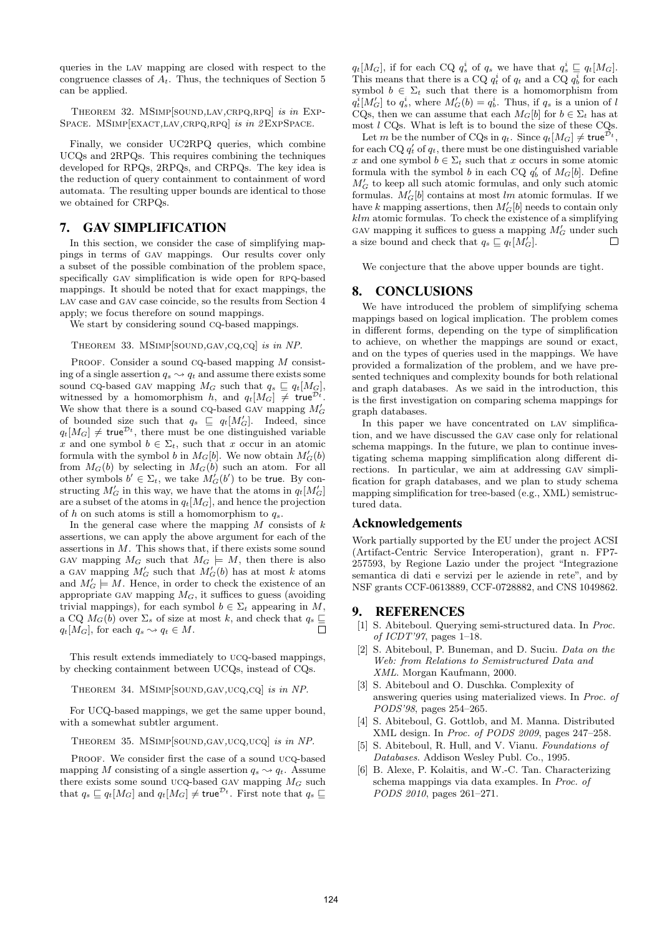queries in the lav mapping are closed with respect to the congruence classes of  $A_t$ . Thus, the techniques of Section 5 can be applied.

Theorem 32. MSimp[sound,lav,crpq,rpq] is in Exp-SPACE. MSIMP[EXACT,LAV,CRPQ,RPQ] is in 2EXPSPACE.

Finally, we consider UC2RPQ queries, which combine UCQs and 2RPQs. This requires combining the techniques developed for RPQs, 2RPQs, and CRPQs. The key idea is the reduction of query containment to containment of word automata. The resulting upper bounds are identical to those we obtained for CRPQs.

# 7. GAV SIMPLIFICATION

In this section, we consider the case of simplifying mappings in terms of gav mappings. Our results cover only a subset of the possible combination of the problem space, specifically GAV simplification is wide open for RPQ-based mappings. It should be noted that for exact mappings, the LAV case and GAV case coincide, so the results from Section 4 apply; we focus therefore on sound mappings.

We start by considering sound  $CQ$ -based mappings.

### Theorem 33. MSimp[sound,gav,cq,cq] is in NP.

PROOF. Consider a sound  $CQ$ -based mapping  $M$  consisting of a single assertion  $q_s \sim q_t$  and assume there exists some sound cq-based GAV mapping  $M_G$  such that  $q_s \sqsubseteq q_t[M_G],$ witnessed by a homomorphism h, and  $q_t[M_G] \neq \text{true}^{\mathcal{D}_t}$ . We show that there is a sound CQ-based GAV mapping  $M'_G$ of bounded size such that  $q_s \subseteq q_t[M'_G]$ . Indeed, since  $q_t[M_G] \neq \text{true}^{\mathcal{D}_t}$ , there must be one distinguished variable x and one symbol  $b \in \Sigma_t$ , such that x occur in an atomic formula with the symbol b in  $M_G[b]$ . We now obtain  $M_G'(b)$ from  $M_G(b)$  by selecting in  $M_G(b)$  such an atom. For all other symbols  $b' \in \Sigma_t$ , we take  $M'_G(b')$  to be true. By constructing  $M'_G$  in this way, we have that the atoms in  $q_t[M'_G]$ are a subset of the atoms in  $q_t[M_G]$ , and hence the projection of h on such atoms is still a homomorphism to  $q_s$ .

In the general case where the mapping  $M$  consists of  $k$ assertions, we can apply the above argument for each of the assertions in  $M$ . This shows that, if there exists some sound GAV mapping  $M_G$  such that  $M_G \models M$ , then there is also a GAV mapping  $M'_G$  such that  $M'_G(b)$  has at most k atoms and  $M'_G \models M$ . Hence, in order to check the existence of an appropriate GAV mapping  $M_G$ , it suffices to guess (avoiding trivial mappings), for each symbol  $b \in \Sigma_t$  appearing in M, a CQ  $M_G(b)$  over  $\Sigma_s$  of size at most k, and check that  $q_s \subseteq a \cup M_G$  for each  $a \geq a \in M$  $q_t[M_G]$ , for each  $q_s \leadsto q_t \in M$ .

This result extends immediately to ucq-based mappings, by checking containment between UCQs, instead of CQs.

THEOREM 34. MSIMP[SOUND,GAV,UCQ,CQ] is in NP.

For UCQ-based mappings, we get the same upper bound, with a somewhat subtler argument.

Theorem 35. MSimp[sound,gav,ucq,ucq] is in NP.

PROOF. We consider first the case of a sound ucq-based mapping M consisting of a single assertion  $q_s \sim q_t$ . Assume there exists some sound ucq-based GAV mapping  $M_G$  such that  $q_s \sqsubseteq q_t[M_G]$  and  $q_t[M_G] \neq \text{true}^{\mathcal{D}_t}$ . First note that  $q_s \sqsubseteq$ 

 $q_t[M_G]$ , if for each CQ  $q_s^i$  of  $q_s$  we have that  $q_s^i \sqsubseteq q_t[M_G]$ . This means that there is a CQ  $q_t^i$  of  $q_t$  and a CQ  $q_b^i$  for each symbol  $b \in \Sigma_t$  such that there is a homomorphism from  $q_t^i[M'_G]$  to  $q_s^i$ , where  $M'_G(b) = q_b^i$ . Thus, if  $q_s$  is a union of l CQs, then we can assume that each  $M_G[b]$  for  $b \in \Sigma_t$  has at most  $l$  CQs. What is left is to bound the size of these CQs.

Let m be the number of CQs in  $q_t$ . Since  $q_t[M_G] \neq \mathsf{true}^{\mathcal{D}_t}$ , for each CQ  $q'_t$  of  $q_t$ , there must be one distinguished variable x and one symbol  $b \in \Sigma_t$  such that x occurs in some atomic formula with the symbol b in each CQ  $q'_b$  of  $M_G[b]$ . Define  ${\cal M}'_G$  to keep all such atomic formulas, and only such atomic formulas.  $M_G'[b]$  contains at most lm atomic formulas. If we have k mapping assertions, then  $M'_G[b]$  needs to contain only  $klm$  atomic formulas. To check the existence of a simplifying GAV mapping it suffices to guess a mapping  $M'_G$  under such a size bound and check that  $q_s \sqsubseteq q_t[M_G']$ .  $\Box$ 

We conjecture that the above upper bounds are tight.

## 8. CONCLUSIONS

We have introduced the problem of simplifying schema mappings based on logical implication. The problem comes in different forms, depending on the type of simplification to achieve, on whether the mappings are sound or exact, and on the types of queries used in the mappings. We have provided a formalization of the problem, and we have presented techniques and complexity bounds for both relational and graph databases. As we said in the introduction, this is the first investigation on comparing schema mappings for graph databases.

In this paper we have concentrated on lav simplification, and we have discussed the gav case only for relational schema mappings. In the future, we plan to continue investigating schema mapping simplification along different directions. In particular, we aim at addressing gav simplification for graph databases, and we plan to study schema mapping simplification for tree-based (e.g., XML) semistructured data.

## Acknowledgements

Work partially supported by the EU under the project ACSI (Artifact-Centric Service Interoperation), grant n. FP7- 257593, by Regione Lazio under the project "Integrazione semantica di dati e servizi per le aziende in rete", and by NSF grants CCF-0613889, CCF-0728882, and CNS 1049862.

# 9. REFERENCES

- [1] S. Abiteboul. Querying semi-structured data. In Proc. of ICDT'97, pages 1–18.
- [2] S. Abiteboul, P. Buneman, and D. Suciu. Data on the Web: from Relations to Semistructured Data and XML. Morgan Kaufmann, 2000.
- [3] S. Abiteboul and O. Duschka. Complexity of answering queries using materialized views. In Proc. of PODS'98, pages 254–265.
- [4] S. Abiteboul, G. Gottlob, and M. Manna. Distributed XML design. In Proc. of PODS 2009, pages 247–258.
- [5] S. Abiteboul, R. Hull, and V. Vianu. Foundations of Databases. Addison Wesley Publ. Co., 1995.
- [6] B. Alexe, P. Kolaitis, and W.-C. Tan. Characterizing schema mappings via data examples. In Proc. of PODS 2010, pages 261–271.